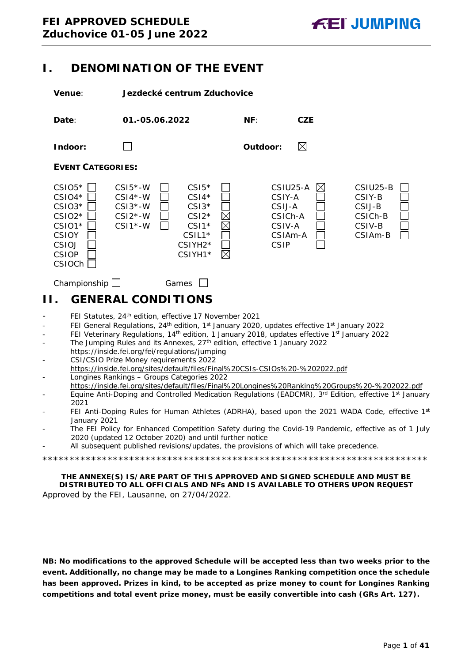## <span id="page-0-0"></span>**I. DENOMINATION OF THE EVENT**

**Venue**: **Jezdecké centrum Zduchovice**



Championship Games C

## <span id="page-0-1"></span>**II. GENERAL CONDITIONS**

- FEI Statutes, 24<sup>th</sup> edition, effective 17 November 2021
- FEI General Regulations, 24<sup>th</sup> edition, 1<sup>st</sup> January 2020, updates effective 1<sup>st</sup> January 2022
- FEI Veterinary Regulations, 14<sup>th</sup> edition, 1 January 2018, updates effective 1<sup>st</sup> January 2022
- The Jumping Rules and its Annexes, 27<sup>th</sup> edition, effective 1 January 2022 https://inside.fei.org/fei/regulations/jumping
- CSI/CSIO Prize Money requirements 2022 https://inside.fei.org/sites/default/files/Final%20CSIs-CSIOs%20-%202022.pdf - Longines Rankings – Groups Categories 2022
- https://inside.fei.org/sites/default/files/Final%20Longines%20Ranking%20Groups%20-%202022.pdf
- Equine Anti-Doping and Controlled Medication Regulations (EADCMR), 3<sup>rd</sup> Edition, effective 1<sup>st</sup> January 2021
- FEI Anti-Doping Rules for Human Athletes (ADRHA), based upon the 2021 WADA Code, effective 1st January 2021
- The FEI Policy for Enhanced Competition Safety during the Covid-19 Pandemic, effective as of 1 July 2020 (updated 12 October 2020) and until further notice
- All subsequent published revisions/updates, the provisions of which will take precedence.

\*\*\*\*\*\*\*\*\*\*\*\*\*\*\*\*\*\*\*\*\*\*\*\*\*\*\*\*\*\*\*\*\*\*\*\*\*\*\*\*\*\*\*\*\*\*\*\*\*\*\*\*\*\*\*\*\*\*\*\*\*\*\*\*\*\*\*\*\*\*\*

**THE ANNEXE(S) IS/ARE PART OF THIS APPROVED AND SIGNED SCHEDULE AND MUST BE DISTRIBUTED TO ALL OFFICIALS AND NFs AND IS AVAILABLE TO OTHERS UPON REQUEST** Approved by the FEI, Lausanne, on 27/04/2022.

**NB: No modifications to the approved Schedule will be accepted less than two weeks prior to the event. Additionally, no change may be made to a Longines Ranking competition once the schedule has been approved. Prizes in kind, to be accepted as prize money to count for Longines Ranking competitions and total event prize money, must be easily convertible into cash (GRs Art. 127).**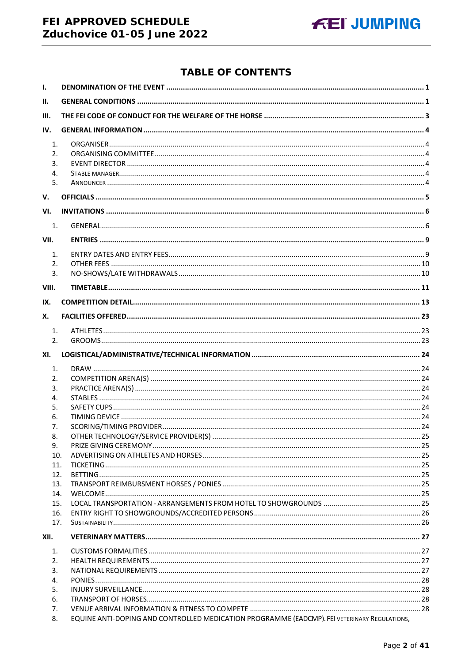## FEI APPROVED SCHEDULE Zduchovice 01-05 June 2022



## **TABLE OF CONTENTS**

| $\mathbf{I}$ . |                                                                                              |  |
|----------------|----------------------------------------------------------------------------------------------|--|
| II.            |                                                                                              |  |
| III.           |                                                                                              |  |
| IV.            |                                                                                              |  |
| 1.             |                                                                                              |  |
| 2.             |                                                                                              |  |
| 3.             |                                                                                              |  |
| 4.             |                                                                                              |  |
| 5.             |                                                                                              |  |
| V.             |                                                                                              |  |
| VI.            |                                                                                              |  |
| 1.             |                                                                                              |  |
| VII.           |                                                                                              |  |
| 1.             |                                                                                              |  |
| 2.             |                                                                                              |  |
| 3.             |                                                                                              |  |
| VIII.          |                                                                                              |  |
| IX.            |                                                                                              |  |
| Х.             |                                                                                              |  |
| 1.             |                                                                                              |  |
| 2.             |                                                                                              |  |
| XI.            |                                                                                              |  |
| 1.             |                                                                                              |  |
| 2.             |                                                                                              |  |
| 3.             |                                                                                              |  |
| 4.             |                                                                                              |  |
| 5.             |                                                                                              |  |
| 6.             |                                                                                              |  |
| 7.             |                                                                                              |  |
| 8.             |                                                                                              |  |
| 9.             |                                                                                              |  |
| 10.<br>11.     |                                                                                              |  |
| 12.            |                                                                                              |  |
| 13.            |                                                                                              |  |
| 14.            |                                                                                              |  |
| 15.            |                                                                                              |  |
| 16.            |                                                                                              |  |
| 17.            |                                                                                              |  |
| XII.           |                                                                                              |  |
| 1.             |                                                                                              |  |
| 2.             |                                                                                              |  |
| 3.             |                                                                                              |  |
| 4.             |                                                                                              |  |
| 5.             |                                                                                              |  |
| 6.             |                                                                                              |  |
| 7.             |                                                                                              |  |
| 8.             | EQUINE ANTI-DOPING AND CONTROLLED MEDICATION PROGRAMME (EADCMP). FEI VETERINARY REGULATIONS, |  |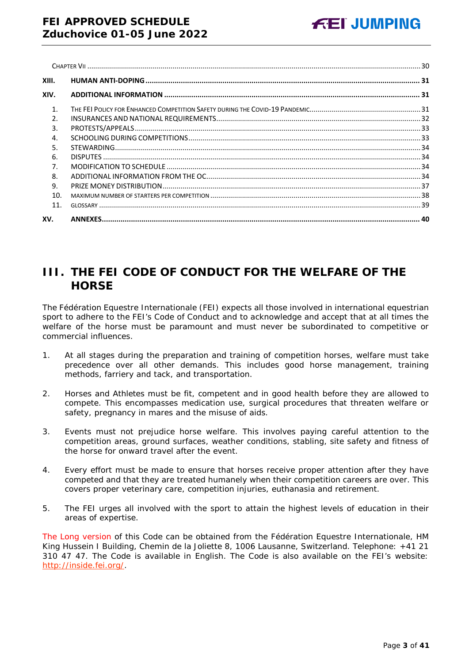| XIII.          |  |
|----------------|--|
| XIV.           |  |
| $\mathbf{1}$ . |  |
| $\mathcal{P}$  |  |
| 3.             |  |
| $\overline{4}$ |  |
| 5.             |  |
| 6.             |  |
| 7.             |  |
| 8.             |  |
| 9.             |  |
| 10.            |  |
| 11.            |  |
| XV.            |  |

# <span id="page-2-0"></span>**III. THE FEI CODE OF CONDUCT FOR THE WELFARE OF THE HORSE**

The Fédération Equestre Internationale (FEI) expects all those involved in international equestrian sport to adhere to the FEI's Code of Conduct and to acknowledge and accept that at all times the welfare of the horse must be paramount and must never be subordinated to competitive or commercial influences.

- 1. At all stages during the preparation and training of competition horses, welfare must take precedence over all other demands. This includes good horse management, training methods, farriery and tack, and transportation.
- 2. Horses and Athletes must be fit, competent and in good health before they are allowed to compete. This encompasses medication use, surgical procedures that threaten welfare or safety, pregnancy in mares and the misuse of aids.
- 3. Events must not prejudice horse welfare. This involves paying careful attention to the competition areas, ground surfaces, weather conditions, stabling, site safety and fitness of the horse for onward travel after the event.
- 4. Every effort must be made to ensure that horses receive proper attention after they have competed and that they are treated humanely when their competition careers are over. This covers proper veterinary care, competition injuries, euthanasia and retirement.
- 5. The FEI urges all involved with the sport to attain the highest levels of education in their areas of expertise.

The Long version of this Code can be obtained from the Fédération Equestre Internationale, HM King Hussein I Building, Chemin de la Joliette 8, 1006 Lausanne, Switzerland. Telephone: +41 21 310 47 47. The Code is available in English. The Code is also available on the FEI's website: [http://inside.fei.org/.](http://inside.fei.org/)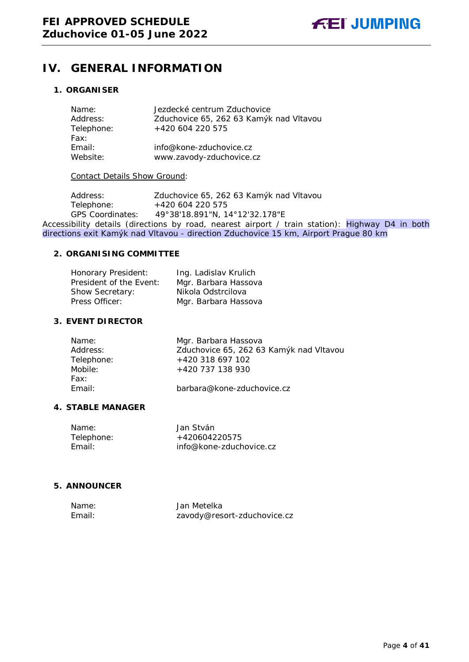## <span id="page-3-0"></span>**IV. GENERAL INFORMATION**

## <span id="page-3-2"></span><span id="page-3-1"></span>**1. ORGANISER**

| Name:<br>Address: | Jezdecké centrum Zduchovice<br>Zduchovice 65, 262 63 Kamýk nad Vltavou |
|-------------------|------------------------------------------------------------------------|
| Telephone:        | +420 604 220 575                                                       |
| Fax:              |                                                                        |
| Email:            | info@kone-zduchovice.cz                                                |
| Website:          | www.zavody-zduchovice.cz                                               |

## Contact Details Show Ground:

Address: Zduchovice 65, 262 63 Kamýk nad Vltavou<br>Telephone: +420 604 220 575 Telephone: +420 604 220 575<br>GPS Coordinates: 49°38'18.891"N, 1 GPS Coordinates: 49°38'18.891"N, 14°12'32.178"E Accessibility details (directions by road, nearest airport / train station): Highway D4 in both directions exit Kamýk nad Vltavou - direction Zduchovice 15 km, Airport Prague 80 km

## **2. ORGANISING COMMITTEE**

| Honorary President:     | Ing. Ladislav Krulich |
|-------------------------|-----------------------|
| President of the Event: | Mgr. Barbara Hassova  |
| Show Secretary:         | Nikola Odstrcilova    |
| Press Officer:          | Mgr. Barbara Hassova  |

## <span id="page-3-3"></span>**3. EVENT DIRECTOR**

| Mgr. Barbara Hassova                    |
|-----------------------------------------|
| Zduchovice 65, 262 63 Kamýk nad Vltavou |
| +420 318 697 102                        |
| +420 737 138 930                        |
|                                         |
| barbara@kone-zduchovice.cz              |
|                                         |

## <span id="page-3-4"></span>**4. STABLE MANAGER**

| Name:      | Jan Stván               |
|------------|-------------------------|
| Telephone: | +420604220575           |
| Fmail:     | info@kone-zduchovice.cz |

## <span id="page-3-5"></span>**5. ANNOUNCER**

| Name:  | Jan Metelka                 |
|--------|-----------------------------|
| Email: | zavody@resort-zduchovice.cz |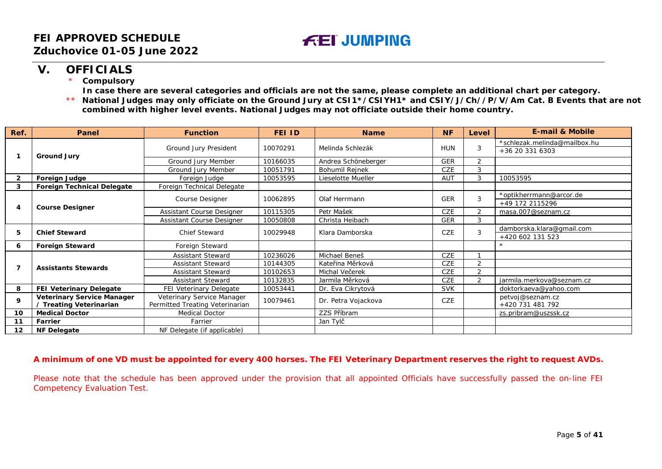# **FEI JUMPING**

## **V. OFFICIALS**

\* **Compulsory**

**In case there are several categories and officials are not the same, please complete an additional chart per category.**

\*\* **National Judges may only officiate on the Ground Jury at CSI1\*/CSIYH1\* and CSIY/J/Ch//P/V/Am Cat. B Events that are not combined with higher level events. National Judges may not officiate outside their home country.**

| Ref.           | Panel                             | <b>Function</b>                 | FEI ID   | <b>Name</b>         | <b>NF</b>  | Level          | <b>E-mail &amp; Mobile</b>   |
|----------------|-----------------------------------|---------------------------------|----------|---------------------|------------|----------------|------------------------------|
|                | <b>Ground Jury</b>                |                                 | 10070291 | Melinda Schlezák    | <b>HUN</b> |                | *schlezak.melinda@mailbox.hu |
|                |                                   | Ground Jury President           |          |                     |            | 3              | +36 20 331 6303              |
|                |                                   | Ground Jury Member              | 10166035 | Andrea Schöneberger | <b>GER</b> | 2              |                              |
|                |                                   | Ground Jury Member              | 10051791 | Bohumil Rejnek      | CZE        | 3              |                              |
| $\overline{2}$ | <b>Foreign Judge</b>              | Foreign Judge                   | 10053595 | Lieselotte Mueller  | <b>AUT</b> | 3              | 10053595                     |
| 3              | <b>Foreign Technical Delegate</b> | Foreign Technical Delegate      |          |                     |            |                |                              |
|                |                                   |                                 |          | Olaf Herrmann       |            | 3              | *optikherrmann@arcor.de      |
|                |                                   | Course Designer                 | 10062895 |                     | <b>GER</b> |                | +49 172 2115296              |
| 4              | <b>Course Designer</b>            | Assistant Course Designer       | 10115305 | Petr Mašek          | <b>CZE</b> | $\overline{2}$ | masa.007@seznam.cz           |
|                |                                   | Assistant Course Designer       | 10050808 | Christa Heibach     | <b>GER</b> | 3              |                              |
| 5              | <b>Chief Steward</b>              | <b>Chief Steward</b>            | 10029948 | Klara Damborska     | CZE        | 3              | damborska.klara@gmail.com    |
|                |                                   |                                 |          |                     |            |                | +420 602 131 523             |
| 6              | <b>Foreign Steward</b>            | Foreign Steward                 |          |                     |            |                |                              |
|                | <b>Assistants Stewards</b>        | <b>Assistant Steward</b>        | 10236026 | Michael Beneš       | <b>CZE</b> |                |                              |
| 7              |                                   | <b>Assistant Steward</b>        | 10144305 | Kateřina Měrková    | CZE        | $\overline{2}$ |                              |
|                |                                   | <b>Assistant Steward</b>        | 10102653 | Michal Večerek      | CZE        | $\overline{2}$ |                              |
|                |                                   | <b>Assistant Steward</b>        | 10132835 | Jarmila Měrková     | CZE        | $\mathfrak{D}$ | jarmila.merkova@seznam.cz    |
| 8              | FEI Veterinary Delegate           | FEI Veterinary Delegate         | 10053441 | Dr. Eva Cikrytová   | <b>SVK</b> |                | doktorkaeva@yahoo.com        |
| 9              | <b>Veterinary Service Manager</b> | Veterinary Service Manager      | 10079461 | Dr. Petra Vojackova | CZE        |                | petvoj@seznam.cz             |
|                | / Treating Veterinarian           | Permitted Treating Veterinarian |          |                     |            |                | +420 731 481 792             |
| 10             | <b>Medical Doctor</b>             | Medical Doctor                  |          | ZZS Příbram         |            |                | zs.pribram@uszssk.cz         |
| 11             | Farrier                           | Farrier                         |          | Jan Tylč            |            |                |                              |
| 12             | <b>NF Delegate</b>                | NF Delegate (if applicable)     |          |                     |            |                |                              |

## <span id="page-4-0"></span>**A minimum of one VD must be appointed for every 400 horses. The FEI Veterinary Department reserves the right to request AVDs.**

Please note that the schedule has been approved under the provision that all appointed Officials have successfully passed the on-line FEI Competency Evaluation Test.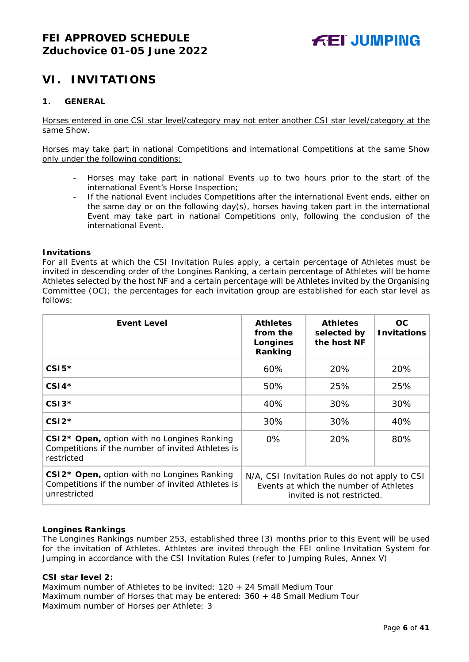## <span id="page-5-0"></span>**VI. INVITATIONS**

## <span id="page-5-1"></span>**1. GENERAL**

Horses entered in one CSI star level/category may not enter another CSI star level/category at the same Show.

Horses may take part in national Competitions and international Competitions at the same Show only under the following conditions:

- Horses may take part in national Events up to two hours prior to the start of the international Event's Horse Inspection;
- If the national Event includes Competitions after the international Event ends, either on the same day or on the following day(s), horses having taken part in the international Event may take part in national Competitions only, following the conclusion of the international Event.

## **Invitations**

For all Events at which the CSI Invitation Rules apply, a certain percentage of Athletes must be invited in descending order of the Longines Ranking, a certain percentage of Athletes will be home Athletes selected by the host NF and a certain percentage will be Athletes invited by the Organising Committee (OC); the percentages for each invitation group are established for each star level as follows:

| <b>Event Level</b>                                                                                                           | <b>Athletes</b><br>from the<br>Longines<br>Ranking                                                                    | <b>Athletes</b><br>selected by<br>the host NF | OC.<br><b>Invitations</b> |
|------------------------------------------------------------------------------------------------------------------------------|-----------------------------------------------------------------------------------------------------------------------|-----------------------------------------------|---------------------------|
| $CSI5*$                                                                                                                      | 60%                                                                                                                   | 20%                                           | 20%                       |
| $CSI4*$                                                                                                                      | 50%                                                                                                                   | 25%                                           | 25%                       |
| $CSI3*$                                                                                                                      | 40%                                                                                                                   | 30%                                           | 30%                       |
| $CSI2*$                                                                                                                      | 30%                                                                                                                   | 30%                                           | 40%                       |
| CSI2* Open, option with no Longines Ranking<br>Competitions if the number of invited Athletes is<br>restricted               | $0\%$                                                                                                                 | 20%                                           | 80%                       |
| CSI2 <sup>*</sup> Open, option with no Longines Ranking<br>Competitions if the number of invited Athletes is<br>unrestricted | N/A, CSI Invitation Rules do not apply to CSI<br>Events at which the number of Athletes<br>invited is not restricted. |                                               |                           |

## **Longines Rankings**

The Longines Rankings number 253, established three (3) months prior to this Event will be used for the invitation of Athletes. Athletes are invited through the FEI online Invitation System for Jumping in accordance with the CSI Invitation Rules (refer to Jumping Rules, Annex V)

## **CSI** *star leve***l 2:**

Maximum number of Athletes to be invited: 120 + 24 Small Medium Tour Maximum number of Horses that may be entered: 360 + 48 Small Medium Tour Maximum number of Horses per Athlete: 3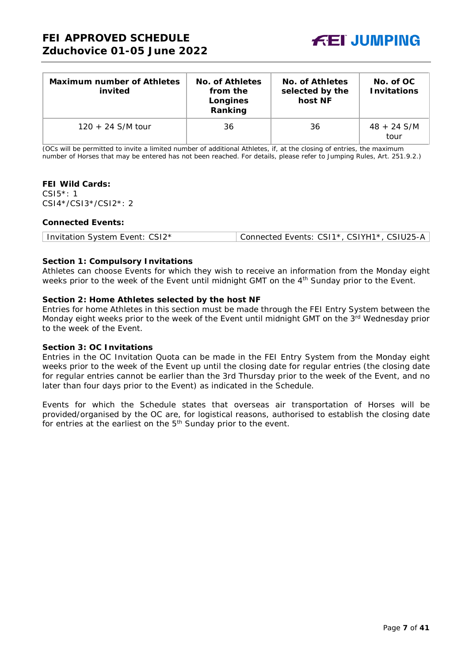

| <b>Maximum number of Athletes</b><br>invited | No. of Athletes<br>from the<br>Longines<br>Ranking | No. of Athletes<br>selected by the<br>host NF | No. of OC<br><b>Invitations</b> |
|----------------------------------------------|----------------------------------------------------|-----------------------------------------------|---------------------------------|
| $120 + 24$ S/M tour                          | 36                                                 | 36                                            | $48 + 24$ S/M<br>tour           |

(OCs will be permitted to invite a limited number of additional Athletes, if, at the closing of entries, the maximum number of Horses that may be entered has not been reached. For details, please refer to Jumping Rules, Art. 251.9.2.)

## **FEI Wild Cards:**

CSI5\*: 1 CSI4\*/CSI3\*/CSI2\*: 2

## **Connected Events:**

## **Section 1: Compulsory Invitations**

Athletes can choose Events for which they wish to receive an information from the Monday eight weeks prior to the week of the Event until midnight GMT on the 4<sup>th</sup> Sunday prior to the Event.

## **Section 2: Home Athletes selected by the host NF**

Entries for home Athletes in this section must be made through the FEI Entry System between the Monday eight weeks prior to the week of the Event until midnight GMT on the 3rd Wednesday prior to the week of the Event.

## **Section 3: OC Invitations**

Entries in the OC Invitation Quota can be made in the FEI Entry System from the Monday eight weeks prior to the week of the Event up until the closing date for regular entries (the closing date for regular entries cannot be earlier than the 3rd Thursday prior to the week of the Event, and no later than four days prior to the Event) as indicated in the Schedule.

Events for which the Schedule states that overseas air transportation of Horses will be provided/organised by the OC are, for logistical reasons, authorised to establish the closing date for entries at the earliest on the  $5<sup>th</sup>$  Sunday prior to the event.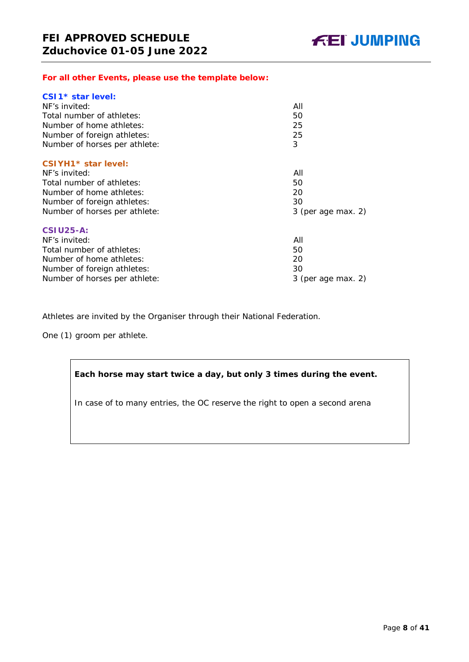## *For all other Events, please use the template below:*

| All                  |
|----------------------|
| 50                   |
| 25                   |
| 25                   |
| 3                    |
|                      |
| All                  |
| 50                   |
| 20                   |
| 30                   |
| $3$ (per age max. 2) |
|                      |
| All                  |
| 50                   |
| 20                   |
| 30                   |
| $3$ (per age max. 2) |
|                      |

Athletes are invited by the Organiser through their National Federation.

One (1) groom per athlete.

## **Each horse may start twice a day, but only 3 times during the event.**

In case of to many entries, the OC reserve the right to open a second arena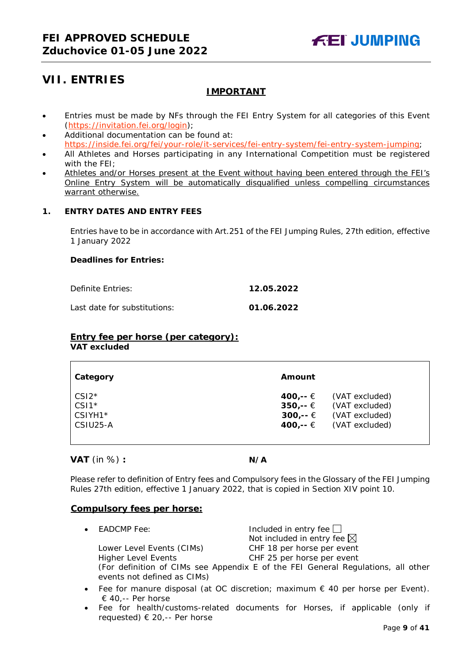## <span id="page-8-0"></span>**VII. ENTRIES**

## **IMPORTANT**

- Entries must be made by NFs through the FEI Entry System for all categories of this Event [\(https://invitation.fei.org/login\)](https://invitation.fei.org/login);
- Additional documentation can be found at: [https://inside.fei.org/fei/your-role/it-services/fei-entry-system/fei-entry-system-jumping;](https://inside.fei.org/fei/your-role/it-services/fei-entry-system/fei-entry-system-jumping)
- All Athletes and Horses participating in any International Competition must be registered with the FEI;
- Athletes and/or Horses present at the Event without having been entered through the FEI's Online Entry System will be automatically disqualified unless compelling circumstances warrant otherwise.

## <span id="page-8-1"></span>**1. ENTRY DATES AND ENTRY FEES**

Entries have to be in accordance with Art.251 of the FEI Jumping Rules, 27th edition, effective 1 January 2022

## **Deadlines for Entries:**

Definite Entries: **12.05.2022**

Last date for substitutions: **01.06.2022**

## **Entry fee per horse** *(per category):*

**VAT excluded**

| Category | Amount   |                |
|----------|----------|----------------|
| $CSI2*$  | 400,-- € | (VAT excluded) |
| $CSI*$   | 350,-- € | (VAT excluded) |
| CSIYH1*  | 300,-- € | (VAT excluded) |
| CSIU25-A | 400.-- € | (VAT excluded) |

## **VAT** (in %) **: N/A**

Please refer to definition of Entry fees and Compulsory fees in the Glossary of the FEI Jumping Rules 27th edition, effective 1 January 2022, that is copied in Section XIV point 10.

## **Compulsory fees per horse:**

 $E$ ADCMP Fee:  $\qquad \qquad$  Included in entry fee  $\Box$ 

Not included in entry fee  $\boxtimes$ Lower Level Events (CIMs) CHF 18 per horse per event Higher Level Events CHF 25 per horse per event (For definition of CIMs see Appendix E of the FEI General Regulations, all other events not defined as CIMs)

- Fee for manure disposal (at OC discretion; maximum € 40 per horse per Event). € 40,-- Per horse
- Fee for health/customs-related documents for Horses, if applicable (only if requested) € 20,-- Per horse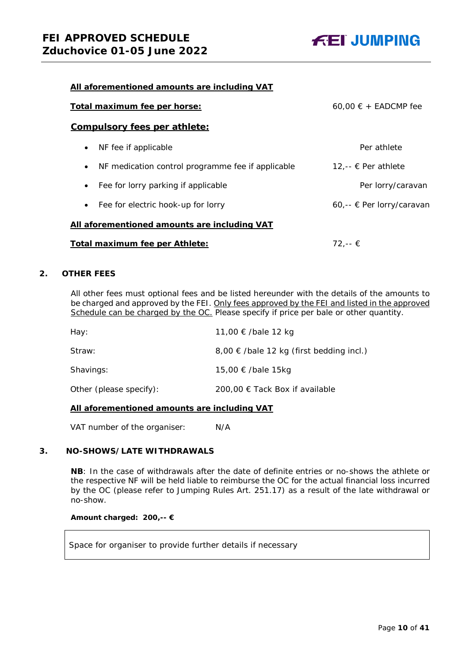

| All aforementioned amounts are including VAT                   |                           |  |  |  |  |
|----------------------------------------------------------------|---------------------------|--|--|--|--|
| Total maximum fee per horse:                                   | $60.00 \in +$ EADCMP fee  |  |  |  |  |
| <b>Compulsory fees per athlete:</b>                            |                           |  |  |  |  |
| NF fee if applicable<br>$\bullet$                              | Per athlete               |  |  |  |  |
| NF medication control programme fee if applicable<br>$\bullet$ | 12.-- € Per athlete       |  |  |  |  |
| Fee for lorry parking if applicable<br>$\bullet$               | Per lorry/caravan         |  |  |  |  |
| • Fee for electric hook-up for lorry                           | 60,-- € Per lorry/caravan |  |  |  |  |
| All aforementioned amounts are including VAT                   |                           |  |  |  |  |
| Total maximum fee per Athlete:                                 | $72. - €$                 |  |  |  |  |

## <span id="page-9-0"></span>**2. OTHER FEES**

All other fees must optional fees and be listed hereunder with the details of the amounts to be charged and approved by the FEI. Only fees approved by the FEI and listed in the approved Schedule can be charged by the OC. *Please specify if price per bale or other quantity.*

| Hay:                    | 11,00 € /bale 12 kg                          |
|-------------------------|----------------------------------------------|
| Straw:                  | $8,00 \in$ /bale 12 kg (first bedding incl.) |
| Shavings:               | 15,00 € /bale 15kg                           |
| Other (please specify): | 200,00 € Tack Box if available               |

## **All aforementioned amounts are including VAT**

VAT number of the organiser: N/A

## <span id="page-9-1"></span>**3. NO-SHOWS/LATE WITHDRAWALS**

**NB**: In the case of withdrawals after the date of definite entries or no-shows the athlete or the respective NF will be held liable to reimburse the OC for the actual financial loss incurred by the OC (please refer to Jumping Rules Art. 251.17) as a result of the late withdrawal or no-show.

## **Amount charged: 200,-- €**

Space for organiser to provide further details if necessary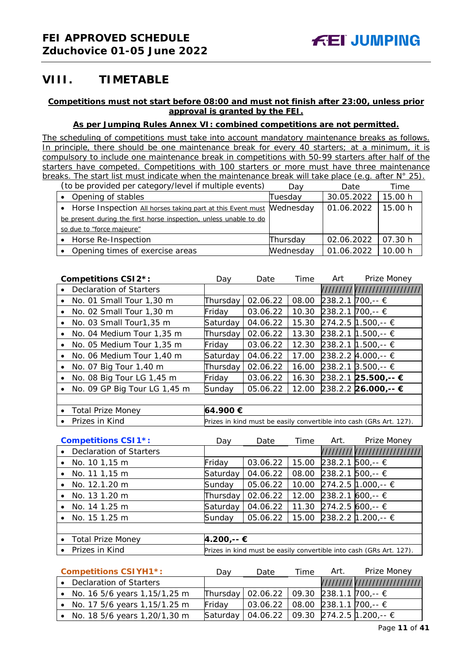## <span id="page-10-0"></span>**VIII. TIMETABLE**

## **Competitions must not start before 08:00 and must not finish after 23:00, unless prior approval is granted by the FEI.**

## **As per Jumping Rules Annex VI: combined competitions are not permitted.**

*The scheduling of competitions must take into account mandatory maintenance breaks as follows. In principle, there should be one maintenance break for every 40 starters; at a minimum, it is compulsory to include one maintenance break in competitions with 50-99 starters after half of the starters have competed. Competitions with 100 starters or more must have three maintenance breaks. The start list must indicate when the maintenance break will take place (e.g. after N° 25). (to be provided per category/level if multiple events)* Day Date Time

| (to be provided per category/lever if multiple events)                 | Day       | Date       | Time.   |
|------------------------------------------------------------------------|-----------|------------|---------|
| Opening of stables<br>$\bullet$                                        | Tuesday   | 30.05.2022 | 15.00 h |
| • Horse Inspection All horses taking part at this Event must Mednesday |           | 01.06.2022 | 15.00 h |
| be present during the first horse inspection, unless unable to do      |           |            |         |
| so due to "force majeure"                                              |           |            |         |
| • Horse Re-Inspection                                                  | Thursday  | 02.06.2022 | 07.30 h |
| Opening times of exercise areas<br>$\bullet$                           | Wednesday | 01.06.2022 | 10.00 h |

|           | <b>Competitions CSI2*:</b>   | Dav          | Date     | Time  | Art | Prize Money                   |
|-----------|------------------------------|--------------|----------|-------|-----|-------------------------------|
| $\bullet$ | Declaration of Starters      |              |          |       |     | ///////////////////////////// |
| $\bullet$ | No. 01 Small Tour 1,30 m     | Thursday     | 02.06.22 | 08.00 |     | 238.2.1 700,-- €              |
| $\bullet$ | No. 02 Small Tour 1,30 m     | Friday       | 03.06.22 | 10.30 |     | 238.2.1 700,-- €              |
| $\bullet$ | No. 03 Small Tour1,35 m      | Saturday     | 04.06.22 | 15.30 |     | 274.2.5   1.500,-- €          |
|           | No. 04 Medium Tour 1,35 m    | Thursday     | 02.06.22 | 13.30 |     | 238.2.1 1.500,-- €            |
|           | No. 05 Medium Tour 1,35 m    | Friday       | 03.06.22 | 12.30 |     | 238.2.1 1.500,-- €            |
|           | No. 06 Medium Tour 1,40 m    | Saturday     | 04.06.22 | 17.00 |     | 238.2.2 $\text{4.000}$ ,-- €  |
| $\bullet$ | No. 07 Big Tour 1,40 m       | Thursday     | 02.06.22 | 16.00 |     | 238.2.1 3.500,-- €            |
|           | No. 08 Big Tour LG 1,45 m    | Friday       | 03.06.22 | 16.30 |     | 238.2.1 25.500,-- €           |
| ٠         | No. 09 GP Big Tour LG 1,45 m | Sunday       | 05.06.22 | 12.00 |     | 238.2.2 26.000,-- €           |
|           |                              |              |          |       |     |                               |
|           | . Total Drize Money          | $AA$ and $E$ |          |       |     |                               |

• Total Prize Money **64.900 €** • Prizes in Kind *Prizes in kind must be easily convertible into cash (GRs Art. 127).*

|           | <b>Competitions CSI1*:</b> | Dav                                                                 | Date     | Time  | Art. | Prize Money                  |  |
|-----------|----------------------------|---------------------------------------------------------------------|----------|-------|------|------------------------------|--|
| $\bullet$ | Declaration of Starters    |                                                                     |          |       |      | //////////////////////////// |  |
|           | • No. $101,15 \text{ m}$   | Friday                                                              | 03.06.22 | 15.00 |      | 238.2.1 500,-- €             |  |
|           | • No. 11 1,15 m            | Saturday                                                            | 04.06.22 | 08.00 |      | 238.2.1 500,-- €             |  |
|           | • No. 12.1.20 m            | Sunday                                                              | 05.06.22 |       |      | 10.00 274.2.5 1.000,-- €     |  |
|           | No. 13 1.20 m              | Thursday                                                            | 02.06.22 | 12.00 |      | 238.2.1 600,-- €             |  |
| $\bullet$ | No. 14 1.25 m              | Saturday                                                            | 04.06.22 |       |      | 11.30 274.2.5 600,-- €       |  |
|           | • No. $151.25 \text{ m}$   | Sunday                                                              | 05.06.22 |       |      | 15.00 238.2.2 1.200,-- €     |  |
|           |                            |                                                                     |          |       |      |                              |  |
|           | • Total Prize Money        | 4.200,-- €                                                          |          |       |      |                              |  |
|           | • Prizes in Kind           | Prizes in kind must be easily convertible into cash (GRs Art. 127). |          |       |      |                              |  |

| <b>Competitions CSIYH1*:</b>     | Dav    | Date                                           | Time | Art. | Prize Money |
|----------------------------------|--------|------------------------------------------------|------|------|-------------|
| • Declaration of Starters        |        |                                                |      |      |             |
| • No. 16 5/6 years 1,15/1,25 m   |        | Thursday   02.06.22   09.30 238.1.1 700,-- €   |      |      |             |
| • No. 17 5/6 years $1,15/1.25$ m | Friday | 03.06.22   08.00   238.1.1   700,-- €          |      |      |             |
| • No. 18 5/6 years 1,20/1,30 m   |        | Saturday   04.06.22   09.30 274.2.5 1.200,-- € |      |      |             |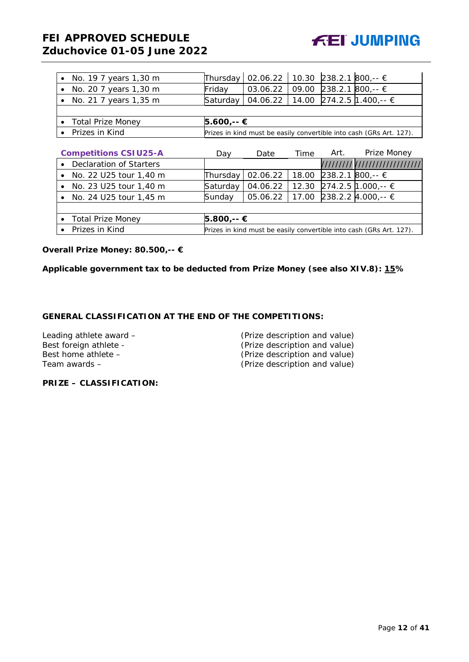

 $\mathcal{L}$ 

| • No. 19 7 years 1,30 m      | Thursday                                                            | 02.06.22 | 10.30 |      | 238.2.1 800,-- €                                                    |
|------------------------------|---------------------------------------------------------------------|----------|-------|------|---------------------------------------------------------------------|
| • No. 20 7 years 1,30 m      | Friday                                                              | 03.06.22 | 09.00 |      | 238.2.1 800,-- €                                                    |
| No. 21 7 years 1,35 m        | Saturday                                                            | 04.06.22 | 14.00 |      | 274.2.5 1.400,-- €                                                  |
|                              |                                                                     |          |       |      |                                                                     |
| <b>Total Prize Money</b>     | 5.600,-- €                                                          |          |       |      |                                                                     |
| Prizes in Kind               |                                                                     |          |       |      | Prizes in kind must be easily convertible into cash (GRs Art. 127). |
|                              |                                                                     |          |       |      |                                                                     |
| <b>Competitions CSIU25-A</b> | Day                                                                 | Date     | Time  | Art. | Prize Money                                                         |
| Declaration of Starters      |                                                                     |          |       |      | /////////////////////////////                                       |
| • No. 22 U25 tour 1,40 m     | Thursday                                                            | 02.06.22 | 18.00 |      | 238.2.1 800,-- €                                                    |
| • No. 23 U25 tour 1,40 m     | Saturday                                                            | 04.06.22 | 12.30 |      | 274.2.5 1.000,-- €                                                  |
| • No. 24 U25 tour 1,45 m     | Sunday                                                              | 05.06.22 | 17.00 |      | 238.2.2 $\text{4.000,-}$ ∈                                          |
|                              |                                                                     |          |       |      |                                                                     |
| • Total Prize Money          | 5.800,-- €                                                          |          |       |      |                                                                     |
| Prizes in Kind               | Prizes in kind must be easily convertible into cash (GRs Art. 127). |          |       |      |                                                                     |

**Overall Prize Money: 80.500,-- €**

**Applicable government tax to be deducted from Prize Money (see also XIV.8): 15%**

## **GENERAL CLASSIFICATION AT THE END OF THE COMPETITIONS:**

| Leading athlete award – | (Prize description and value) |
|-------------------------|-------------------------------|
| Best foreign athlete -  | (Prize description and value) |
| Best home athlete -     | (Prize description and value) |
| Team awards –           | (Prize description and value) |
|                         |                               |

**PRIZE – CLASSIFICATION:**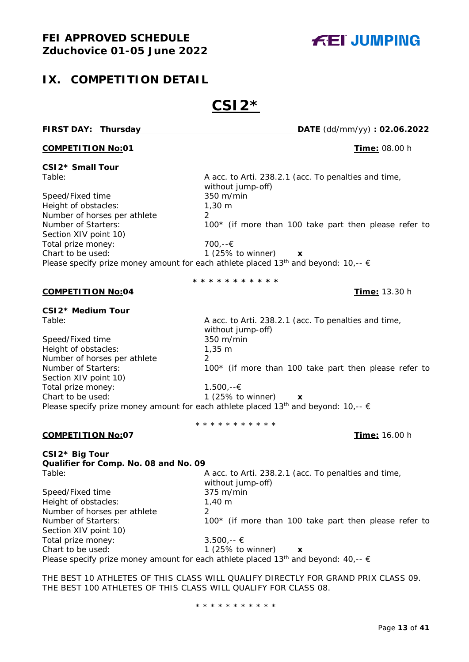## <span id="page-12-0"></span>**IX. COMPETITION DETAIL**

# **CSI2\***

without jump-off)

**FIRST DAY: Thursday DATE** (dd/mm/yy) **: 02.06.2022**

## **COMPETITION No:01** COMPETITION No:01

#### **CSI2\* Small Tour** Table: A acc. to Arti. 238.2.1 (acc. To penalties and time,

Speed/Fixed time 350 m/min Height of obstacles: 1,30 m Number of horses per athlete 2 Number of Starters: 100<sup>\*</sup> (if more than 100 take part then please refer to Section XIV point 10) Total prize money: 700,--€ Chart to be used: 1 (25% to winner) **x** Please specify prize money amount for each athlete placed 13<sup>th</sup> and beyond: 10,--  $\epsilon$ 

**\* \* \* \* \* \* \* \* \* \* \***

## **COMPETITION No:04 Time:** 13.30 h

**CSI2\* Medium Tour**

Speed/Fixed time 350 m/min Height of obstacles: 1,35 m Number of horses per athlete 2 Section XIV point 10) Total prize money: 1.500,--€ Chart to be used: 1 (25% to winner) **x** Please specify prize money amount for each athlete placed 13<sup>th</sup> and beyond: 10,--  $\epsilon$ 

Table: A acc. to Arti. 238.2.1 (acc. To penalties and time, without jump-off) Number of Starters: 100<sup>\*</sup> (if more than 100 take part then please refer to

\* \* \* \* \* \* \* \* \* \* \*

## **COMPETITION No:07 Time:** 16.00 h

**CSI2\* Big Tour**

**Qualifier for Comp. No. 08 and No. 09** Table: Table: A acc. to Arti. 238.2.1 (acc. To penalties and time, without jump-off) Speed/Fixed time 375 m/min Height of obstacles: 1,40 m Number of horses per athlete 2 Number of Starters: 100<sup>\*</sup> (if more than 100 take part then please refer to Section XIV point 10) Total prize money:  $3.500 - \epsilon$ Chart to be used: 1 (25% to winner) **x** Please specify prize money amount for each athlete placed 13<sup>th</sup> and beyond: 40,--  $\epsilon$ 

THE BEST 10 ATHLETES OF THIS CLASS WILL QUALIFY DIRECTLY FOR GRAND PRIX CLASS 09. THE BEST 100 ATHLETES OF THIS CLASS WILL QUALIFY FOR CLASS 08.

\* \* \* \* \* \* \* \* \* \* \*

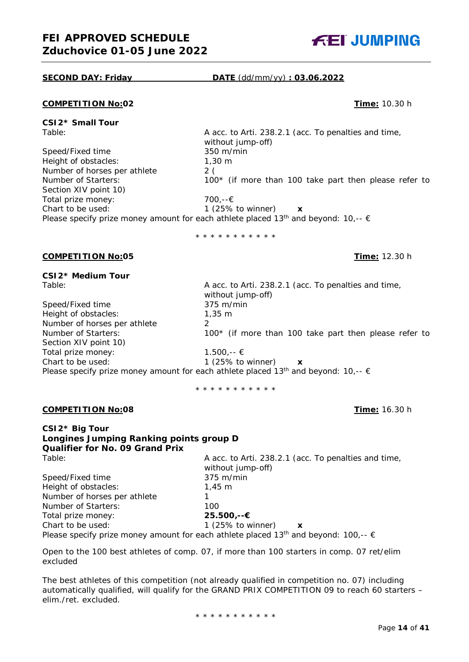

## **SECOND DAY: Friday DATE** (dd/mm/yy) **: 03.06.2022**

#### **COMPETITION No:02 Time:** 10.30 h

**CSI2\* Small Tour**

without jump-off)<br>350 m/min Speed/Fixed time Height of obstacles: 1,30 m<br>Number of horses per athlete 2 (2) Number of horses per athlete<br>Number of Starters:  $100*$  (if more than 100 take part then please refer to Section XIV point 10) Total prize money: 700,--€ Chart to be used: 1 (25% to winner) **x** Please specify prize money amount for each athlete placed 13<sup>th</sup> and beyond: 10,--  $\epsilon$ 

\* \* \* \* \* \* \* \* \* \* \*

#### **COMPETITION No:05 Time:** 12.30 h

**CSI2\* Medium Tour**

| Table:                       | A acc. to Arti. 238.2.1 (acc. To penalties and time,<br>without jump-off)                               |
|------------------------------|---------------------------------------------------------------------------------------------------------|
| Speed/Fixed time             | $375 \text{ m/min}$                                                                                     |
| Height of obstacles:         | $1.35 \; m$                                                                                             |
| Number of horses per athlete |                                                                                                         |
| Number of Starters:          | 100* (if more than 100 take part then please refer to                                                   |
| Section XIV point 10)        |                                                                                                         |
| Total prize money:           | $1.500 -$ ∈ €                                                                                           |
| Chart to be used:            | 1 $(25\% \text{ to winner})$<br>$\boldsymbol{\mathsf{x}}$                                               |
|                              | Please specify prize money amount for each athlete placed 13 <sup>th</sup> and beyond: 10,-- $\epsilon$ |
|                              |                                                                                                         |

\* \* \* \* \* \* \* \* \* \* \*

#### **COMPETITION No:08 Time:** 16.30 h

**CSI2\* Big Tour Longines Jumping Ranking points group D Qualifier for No. 09 Grand Prix**

A acc. to Arti. 238.2.1 (acc. To penalties and time, without jump-off) Speed/Fixed time 375 m/min Height of obstacles: 1,45 m Number of horses per athlete 1 Number of Starters: 100 Total prize money: **25.500,--€** Chart to be used: 1 (25% to winner) **x** Please specify prize money amount for each athlete placed 13<sup>th</sup> and beyond: 100,--  $\epsilon$ 

A acc. to Arti. 238.2.1 (acc. To penalties and time,

Open to the 100 best athletes of comp. 07, if more than 100 starters in comp. 07 ret/elim excluded

The best athletes of this competition (not already qualified in competition no. 07) including automatically qualified, will qualify for the GRAND PRIX COMPETITION 09 to reach 60 starters – elim./ret. excluded.

\* \* \* \* \* \* \* \* \* \* \*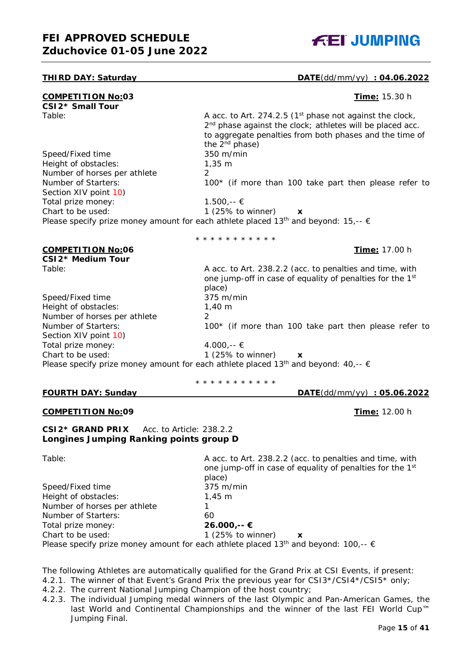

## **THIRD DAY: Saturday DATE**(dd/mm/yy) **: 04.06.2022**

| <b>COMPETITION No:03</b>                            | Time: 15.30 h                                                                                                                                                                                                                          |
|-----------------------------------------------------|----------------------------------------------------------------------------------------------------------------------------------------------------------------------------------------------------------------------------------------|
| CSI2* Small Tour                                    |                                                                                                                                                                                                                                        |
| Table:                                              | A acc. to Art. 274.2.5 (1 <sup>st</sup> phase not against the clock,<br>2 <sup>nd</sup> phase against the clock; athletes will be placed acc.<br>to aggregate penalties from both phases and the time of<br>the 2 <sup>nd</sup> phase) |
| Speed/Fixed time                                    | 350 m/min                                                                                                                                                                                                                              |
| Height of obstacles:                                | $1,35 \; m$                                                                                                                                                                                                                            |
| Number of horses per athlete                        | $\overline{2}$                                                                                                                                                                                                                         |
| Number of Starters:                                 | 100* (if more than 100 take part then please refer to                                                                                                                                                                                  |
| Section XIV point 10)                               |                                                                                                                                                                                                                                        |
| Total prize money:                                  | $1.500,-$ €                                                                                                                                                                                                                            |
| Chart to be used:                                   | 1 (25% to winner)<br>X                                                                                                                                                                                                                 |
|                                                     | Please specify prize money amount for each athlete placed 13 <sup>th</sup> and beyond: 15,-- $\epsilon$                                                                                                                                |
|                                                     | * * * * * * * * * * *                                                                                                                                                                                                                  |
| <b>COMPETITION No:06</b>                            | Time: 17.00 h                                                                                                                                                                                                                          |
| CSI2* Medium Tour                                   |                                                                                                                                                                                                                                        |
| Table:                                              | A acc. to Art. 238.2.2 (acc. to penalties and time, with<br>one jump-off in case of equality of penalties for the 1st<br>place)                                                                                                        |
| Speed/Fixed time                                    | 375 m/min                                                                                                                                                                                                                              |
| Height of obstacles:                                | $1,40 \; m$                                                                                                                                                                                                                            |
| Number of horses per athlete                        | $\mathcal{P}$                                                                                                                                                                                                                          |
| Number of Starters:<br>Section XIV point 10)        | 100* (if more than 100 take part then please refer to                                                                                                                                                                                  |
| Total prize money:                                  | 4.000,-- €                                                                                                                                                                                                                             |
| Chart to be used:                                   | 1 (25% to winner)<br>X                                                                                                                                                                                                                 |
|                                                     | Please specify prize money amount for each athlete placed 13 <sup>th</sup> and beyond: 40,-- $\epsilon$                                                                                                                                |
|                                                     | * * * * * * * * * * *                                                                                                                                                                                                                  |
| <b>FOURTH DAY: Sunday</b>                           | $\overline{DATE(dd/mm/yy)}$ : 05.06.2022                                                                                                                                                                                               |
| <b>COMPETITION No:09</b>                            | Time: 12.00 h                                                                                                                                                                                                                          |
| <b>CSI2* GRAND PRIX</b><br>Acc. to Article: 238.2.2 |                                                                                                                                                                                                                                        |

## **Longines Jumping Ranking points group D**

|      | I. |  |
|------|----|--|
| - 11 |    |  |

Speed/Fixed time

A acc. to Art. 238.2.2 (acc. to penalties and time, with one jump-off in case of equality of penalties for the 1st place)<br>375 m/min Height of obstacles: 1,45 m Number of horses per athlete 1 Number of Starters: 60 Total prize money: **26.000,-- €** Chart to be used: 1 (25% to winner) **x** Please specify prize money amount for each athlete placed 13<sup>th</sup> and beyond: 100,--  $\epsilon$ 

The following Athletes are automatically qualified for the Grand Prix at CSI Events, if present:

- 4.2.1. The winner of that Event's Grand Prix the previous year for CSI3\*/CSI4\*/CSI5\* only;
- 4.2.2. The current National Jumping Champion of the host country;
- 4.2.3. The individual Jumping medal winners of the last Olympic and Pan-American Games, the last World and Continental Championships and the winner of the last FEI World Cup™ Jumping Final.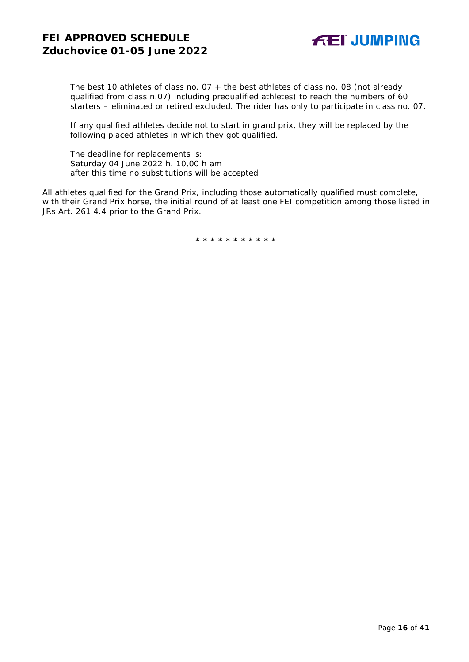The best 10 athletes of class no. 07 + the best athletes of class no. 08 (not already qualified from class n.07) including prequalified athletes) to reach the numbers of 60 starters – eliminated or retired excluded. The rider has only to participate in class no. 07.

If any qualified athletes decide not to start in grand prix, they will be replaced by the following placed athletes in which they got qualified.

The deadline for replacements is: Saturday 04 June 2022 h. 10,00 h am after this time no substitutions will be accepted

All athletes qualified for the Grand Prix, including those automatically qualified must complete, with their Grand Prix horse, the initial round of at least one FEI competition among those listed in JRs Art. 261.4.4 prior to the Grand Prix.

\* \* \* \* \* \* \* \* \* \* \*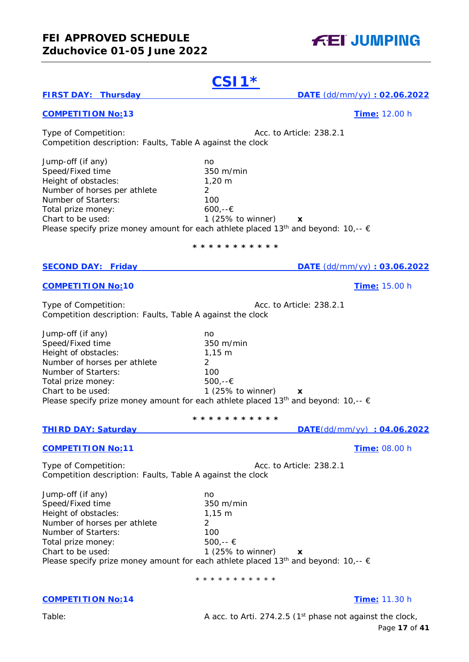## **FEI APPROVED SCHEDULE Zduchovice 01-05 June 2022**

Page **17** of **41** 1 (25% to winner)  $x$ **\* \* \* \* \* \* \* \* \* \* \* THIRD DAY: Saturday DATE**(dd/mm/yy) **: 04.06.2022 COMPETITION No:11 Time:** 08.00 h Chart to be used: 1 (25% to winner) **x** Please specify prize money amount for each athlete placed 13<sup>th</sup> and beyond: 10,--  $\epsilon$ \* \* \* \* \* \* \* \* \* \* \* **COMPETITION No:14 Time:** 11.30 h Table: Table: A acc. to Arti. 274.2.5 (1<sup>st</sup> phase not against the clock,

# **CSI1\***

## **FIRST DAY: Thursday DATE** (dd/mm/yy) **: 02.06.2022**

## **COMPETITION No:13 Time:** 12.00 h

Type of Competition:  $\sqrt{a}$  Acc. to Article: 238.2.1 Competition description: Faults, Table A against the clock

Jump-off (if any) no<br>Speed/Fixed time no and 350 m/min Speed/Fixed time Height of obstacles: 1,20 m Number of horses per athlete 2 Number of Starters: 100 Total prize money:  $600,-\in$ <br>Chart to be used:  $1(25\%)$ 1 (25% to winner)  $\boldsymbol{\mathsf{x}}$ Please specify prize money amount for each athlete placed 13<sup>th</sup> and beyond: 10,--  $\epsilon$ 

## **\* \* \* \* \* \* \* \* \* \* \***

## **SECOND DAY: Friday DATE** (dd/mm/yy) **: 03.06.2022**

## **COMPETITION No:10 COMPETITION No:10**

Type of Competition:  $\sqrt{a}$  Acc. to Article: 238.2.1 Competition description: Faults, Table A against the clock

Jump-off (if any) no<br>Speed/Fixed time no metal 350 m/min Speed/Fixed time Height of obstacles: 1,15 m Number of horses per athlete 2 Number of Starters: 100 Total prize money: 500,--€<br>Chart to be used: 1 (25% Please specify prize money amount for each athlete placed 13<sup>th</sup> and beyond: 10,--  $\epsilon$ 

Type of Competition:  $\alpha$  Acc. to Article: 238.2.1 Competition description: Faults, Table A against the clock

Jump-off (if any)<br>
Speed/Fixed time<br>
350 m/min Speed/Fixed time Height of obstacles: 1,15 m Number of horses per athlete 2 Number of Starters: 100 Total prize money:  $500,-\in$ 

**FEI JUMPING**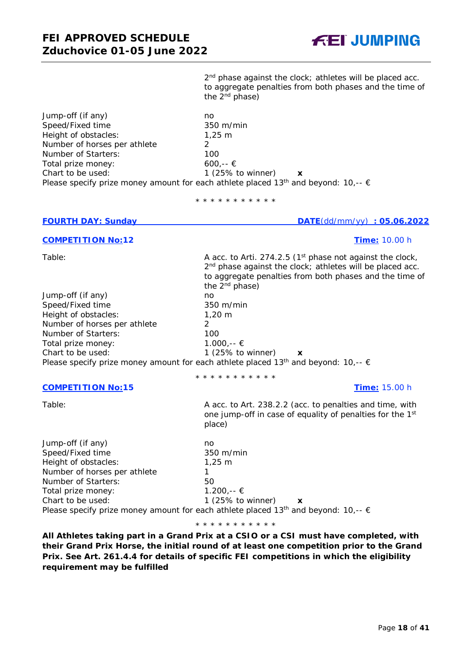

Page **18** of **41**

2<sup>nd</sup> phase against the clock; athletes will be placed acc. to aggregate penalties from both phases and the time of the  $2^{nd}$  phase)

Jump-off (if any)<br>
Speed/Fixed time<br>
350 m/min Speed/Fixed time Height of obstacles: 1,25 m Number of horses per athlete 2 Number of Starters:  $100$ <br>Total prize money:  $600. -6$ Total prize money: Chart to be used: 1 (25% to winner) **x** Please specify prize money amount for each athlete placed 13<sup>th</sup> and beyond: 10,--  $\epsilon$ 

\* \* \* \* \* \* \* \* \* \* \*

## **FOURTH DAY: Sunday DATE**(dd/mm/yy) : 05.06.2022

## **COMPETITION No:12 Time:** 10.00 h

Table: Table: A acc. to Arti. 274.2.5 (1<sup>st</sup> phase not against the clock,

Jump-off (if any) and the monomediate of the monomediate of the monomediate of the monomediate of the monomedi<br>
Speed/Fixed time and the monomediate of the speed/Fixed time Speed/Fixed time Height of obstacles: 1,20 m Number of horses per athlete 2 Number of Starters:  $100$ <br>
Total prize money:  $1.000, -6$ Total prize money: Chart to be used: 1 (25% to winner) **x** Please specify prize money amount for each athlete placed 13<sup>th</sup> and beyond: 10,--  $\epsilon$ 

## **COMPETITION No:15 Time:** 15.00 h

to aggregate penalties from both phases and the time of the 2<sup>nd</sup> phase)

2<sup>nd</sup> phase against the clock; athletes will be placed acc.

\* \* \* \* \* \* \* \* \* \* \*

# Table: Table: A acc. to Art. 238.2.2 (acc. to penalties and time, with

one jump-off in case of equality of penalties for the 1<sup>st</sup> place)

Jump-off (if any) no Speed/Fixed time 350 m/min Height of obstacles: 1,25 m Number of horses per athlete 1 Number of Starters: 50 Total prize money:  $1.200$ , --  $\epsilon$ Chart to be used: 1 (25% to winner) **x** Please specify prize money amount for each athlete placed 13<sup>th</sup> and beyond: 10,--  $\epsilon$ 

\* \* \* \* \* \* \* \* \* \* \*

**All Athletes taking part in a Grand Prix at a CSIO or a CSI must have completed, with their Grand Prix Horse, the initial round of at least one competition prior to the Grand Prix. See Art. 261.4.4 for details of specific FEI competitions in which the eligibility requirement may be fulfilled**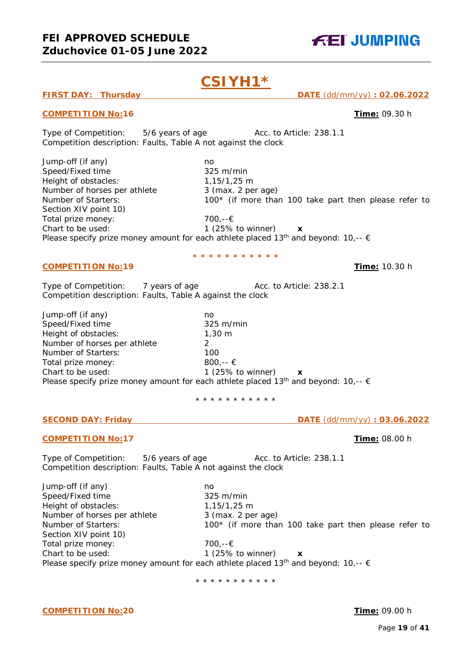**CSIYH1\***

## **FIRST DAY: Thursday DATE** (dd/mm/yy) **: 02.06.2022**

## **COMPETITION No:16 Time:** 09.30 h

Type of Competition: 5/6 years of age Acc. to Article: 238.1.1 Competition description: Faults, Table A not against the clock

Jump-off (if any)<br>
Speed/Fixed time<br>
325 m/min Speed/Fixed time Height of obstacles: 1,15/1,25 m Number of horses per athlete 3 (max. 2 per age) Number of Starters: 100<sup>\*</sup> (if more than 100 take part then please refer to Section XIV point 10) Total prize money: 700,--€ Chart to be used: 1 (25% to winner) **x** Please specify prize money amount for each athlete placed 13<sup>th</sup> and beyond: 10,--  $\epsilon$ 

**\* \* \* \* \* \* \* \* \* \* \***

## **COMPETITION No:19 Time:** 10.30 h

Type of Competition: 7 years of age Acc. to Article: 238.2.1 Competition description: Faults, Table A against the clock

Jump-off (if any) no Speed/Fixed time 325 m/min Height of obstacles: 1,30 m Number of horses per athlete 2 Number of Starters: 100 Total prize money: 800,--  $\epsilon$ Chart to be used: 1 (25% to winner) **x** Please specify prize money amount for each athlete placed 13<sup>th</sup> and beyond: 10,--  $\epsilon$ 

\* \* \* \* \* \* \* \* \* \* \*

## **SECOND DAY: Friday DATE** (dd/mm/yy) **: 03.06.2022**

## **COMPETITION No:17 Time:** 08.00 h

Type of Competition: 5/6 years of age Acc. to Article: 238.1.1 Competition description: Faults, Table A not against the clock

Jump-off (if any) no Speed/Fixed time 325 m/min Height of obstacles: 1,15/1,25 m Number of horses per athlete 3 (max. 2 per age) Number of Starters: 100<sup>\*</sup> (if more than 100 take part then please refer to Section XIV point 10) Total prize money: 700,--€ Chart to be used: 1 (25% to winner) **x** Please specify prize money amount for each athlete placed 13<sup>th</sup> and beyond: 10,--  $\epsilon$ 

\* \* \* \* \* \* \* \* \* \* \*

**FEI JUMPING**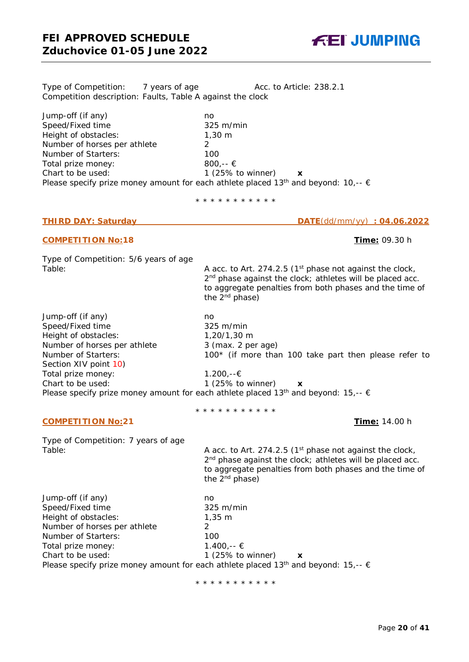Type of Competition: 7 years of age Acc. to Article: 238.2.1 Competition description: Faults, Table A against the clock

Jump-off (if any) no Speed/Fixed time 325 m/min Height of obstacles: 1,30 m Number of horses per athlete 2 Number of Starters: 100<br>Total prize money: 800.-- € Total prize money: Chart to be used: 1 (25% to winner) **x** Please specify prize money amount for each athlete placed 13<sup>th</sup> and beyond: 10,--  $\epsilon$ 

\* \* \* \* \* \* \* \* \* \* \*

## **COMPETITION No:18 Time:** 09.30 h

Type of Competition: 5/6 years of age

Jump-off (if any) no Speed/Fixed time 325 m/min Height of obstacles: 1,20/1,30 m Number of horses per athlete 3 (max. 2 per age) Number of Starters: 100<sup>\*</sup> (if more than 100 take part then please refer to Section XIV point 10) Total prize money: 1.200,--€ Chart to be used: 1 (25% to winner) **x** Please specify prize money amount for each athlete placed 13<sup>th</sup> and beyond: 15,--  $\epsilon$ 

\* \* \* \* \* \* \* \* \* \* \*

**COMPETITION No:21 Time:** 14.00 h

Type of Competition: 7 years of age

Table: Table: Table: A acc. to Art. 274.2.5 (1<sup>st</sup> phase not against the clock, 2<sup>nd</sup> phase against the clock; athletes will be placed acc. to aggregate penalties from both phases and the time of the 2nd phase)

Jump-off (if any) no Speed/Fixed time 325 m/min<br>Height of obstacles: 1,35 m Height of obstacles: Number of horses per athlete 2 Number of Starters: 100 Total prize money:  $1.400$ ,--  $\epsilon$ Chart to be used: 1 (25% to winner) **x** Please specify prize money amount for each athlete placed 13<sup>th</sup> and beyond: 15,--  $\epsilon$ 

\* \* \* \* \* \* \* \* \* \* \*

**THIRD DAY: Saturday DATE**(dd/mm/yy) **: 04.06.2022**

Table: Table: Table: A acc. to Art. 274.2.5 (1<sup>st</sup> phase not against the clock, 2<sup>nd</sup> phase against the clock; athletes will be placed acc. to aggregate penalties from both phases and the time of the 2nd phase)



**FEI JUMPING**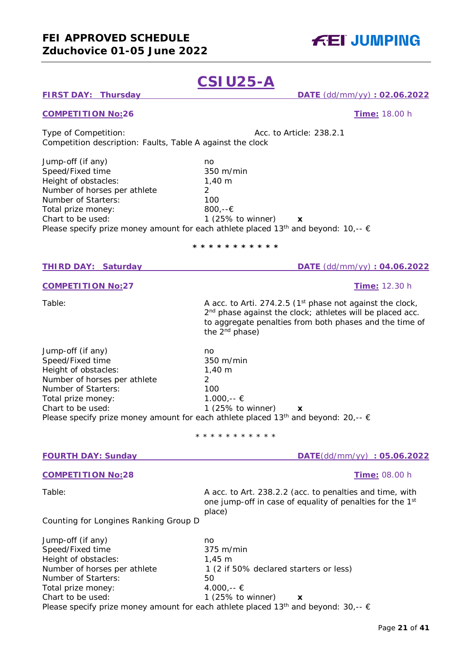# **CSIU25-A**

## **FIRST DAY: Thursday DATE** (dd/mm/yy) **: 02.06.2022**

## **COMPETITION No:26 Time:** 18.00 h

Type of Competition:  $\sqrt{a}$  Acc. to Article: 238.2.1 Competition description: Faults, Table A against the clock

Jump-off (if any) no<br>Speed/Fixed time no and 350 m/min Speed/Fixed time Height of obstacles: 1,40 m Number of horses per athlete 2 Number of Starters: 100 Total prize money: 800,--€<br>Chart to be used: 1 (25% 1 (25% to winner)  $x$ Please specify prize money amount for each athlete placed 13<sup>th</sup> and beyond: 10,--  $\epsilon$ 

## **\* \* \* \* \* \* \* \* \* \* \***

## **THIRD DAY: Saturday DATE** (dd/mm/yy) **: 04.06.2022**

#### **COMPETITION No:27 Time:** 12.30 h

Table: Table: A acc. to Arti. 274.2.5 (1<sup>st</sup> phase not against the clock, 2<sup>nd</sup> phase against the clock; athletes will be placed acc. to aggregate penalties from both phases and the time of the 2nd phase)

Jump-off (if any) no Speed/Fixed time 350 m/min Height of obstacles: 1,40 m Number of horses per athlete 2 Number of Starters: 100 Total prize money:  $1.000,-\infty$ <br>Chart to be used:  $1.25\%$  to 1 (25% to winner)  $\boldsymbol{\mathsf{x}}$ Please specify prize money amount for each athlete placed 13<sup>th</sup> and beyond: 20 --

| Ficase specify prize frioriey arrivarity for each attricte placed TS and beyond. ZO,-- E |                                                                                                                                             |  |  |
|------------------------------------------------------------------------------------------|---------------------------------------------------------------------------------------------------------------------------------------------|--|--|
|                                                                                          | * * * * * * * * * * *                                                                                                                       |  |  |
| <b>FOURTH DAY: Sunday</b>                                                                | DATE(dd/mm/yy): 05.06.2022                                                                                                                  |  |  |
| <b>COMPETITION No:28</b>                                                                 | <b>Time: 08.00 h</b>                                                                                                                        |  |  |
| Table:                                                                                   | A acc. to Art. 238.2.2 (acc. to penalties and time, with<br>one jump-off in case of equality of penalties for the 1 <sup>st</sup><br>place) |  |  |
| Counting for Longines Ranking Group D                                                    |                                                                                                                                             |  |  |
| Jump-off (if any)                                                                        | no                                                                                                                                          |  |  |
| Speed/Fixed time                                                                         | $375 \text{ m/min}$                                                                                                                         |  |  |
| Height of obstacles:                                                                     | $1.45 \; m$                                                                                                                                 |  |  |
| Number of horses per athlete                                                             | 1 (2 if 50% declared starters or less)                                                                                                      |  |  |
| Number of Starters:                                                                      | 50                                                                                                                                          |  |  |
| Total prize money:                                                                       | $4.000, \in$ €                                                                                                                              |  |  |
| Chart to be used:                                                                        | 1 $(25\%$ to winner)<br>X                                                                                                                   |  |  |

Please specify prize money amount for each athlete placed 13<sup>th</sup> and beyond: 30,--  $\epsilon$ 

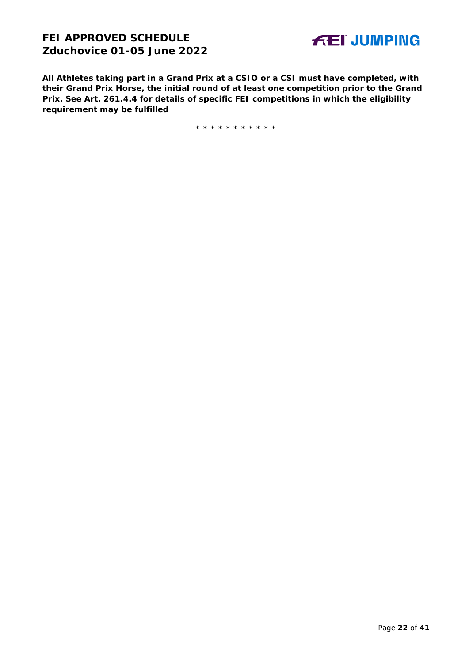**All Athletes taking part in a Grand Prix at a CSIO or a CSI must have completed, with their Grand Prix Horse, the initial round of at least one competition prior to the Grand Prix. See Art. 261.4.4 for details of specific FEI competitions in which the eligibility requirement may be fulfilled**

\* \* \* \* \* \* \* \* \* \* \*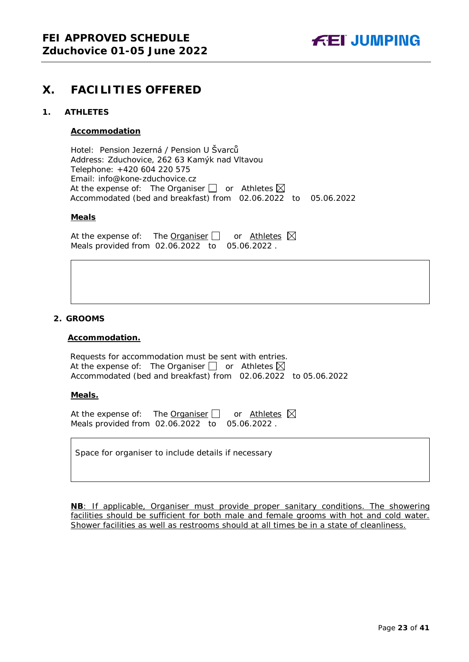

## <span id="page-22-0"></span>**X. FACILITIES OFFERED**

## <span id="page-22-1"></span>**1. ATHLETES**

## **Accommodation**

Hotel: Pension Jezerná / Pension U Švarců Address: Zduchovice, 262 63 Kamýk nad Vltavou Telephone: +420 604 220 575 Email: info@kone-zduchovice.cz At the expense of: The Organiser  $\Box$  or Athletes  $\boxtimes$ Accommodated (bed and breakfast) from 02.06.2022 to 05.06.2022

#### **Meals**

At the expense of: The Organiser  $\Box$  or Athletes  $\boxtimes$ Meals provided from 02.06.2022 to 05.06.2022 .

## <span id="page-22-2"></span>**2. GROOMS**

#### **Accommodation.**

Requests for accommodation must be sent with entries. At the expense of: The Organiser  $\Box$  or Athletes  $\boxtimes$ Accommodated (bed and breakfast) from 02.06.2022 to 05.06.2022

## **Meals.**

At the expense of: The Organiser  $\Box$  or Athletes  $\boxtimes$ Meals provided from 02.06.2022 to 05.06.2022 .

Space for organiser to include details if necessary

**NB**: If applicable, Organiser must provide proper sanitary conditions. The showering facilities should be sufficient for both male and female grooms with hot and cold water. Shower facilities as well as restrooms should at all times be in a state of cleanliness.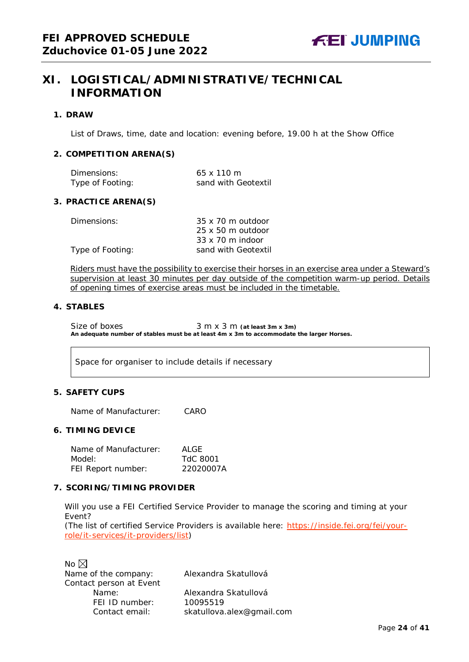## <span id="page-23-0"></span>**XI. LOGISTICAL/ADMINISTRATIVE/TECHNICAL INFORMATION**

## <span id="page-23-1"></span>**1. DRAW**

List of Draws, time, date and location: evening before, 19.00 h at the Show Office

## <span id="page-23-2"></span>**2. COMPETITION ARENA(S)**

| Dimensions:      | $65 \times 110 \text{ m}$ |
|------------------|---------------------------|
| Type of Footing: | sand with Geotextil       |

## <span id="page-23-3"></span>**3. PRACTICE ARENA(S)**

| Dimensions:      | $35 \times 70$ m outdoor |
|------------------|--------------------------|
|                  | $25 \times 50$ m outdoor |
|                  | $33 \times 70$ m indoor  |
| Type of Footing: | sand with Geotextil      |

Riders must have the possibility to exercise their horses in an exercise area under a Steward's supervision at least 30 minutes per day outside of the competition warm-up period. Details of opening times of exercise areas must be included in the timetable.

## <span id="page-23-4"></span>**4. STABLES**

Size of boxes 3 m x 3 m (at least 3m x 3m) **An adequate number of stables must be at least 4m x 3m to accommodate the larger Horses.**

Space for organiser to include details if necessary

## <span id="page-23-5"></span>**5. SAFETY CUPS**

Name of Manufacturer: CARO

## <span id="page-23-6"></span>**6. TIMING DEVICE**

Name of Manufacturer: ALGE Model: TdC 8001 FEI Report number: 22020007A

## <span id="page-23-7"></span>**7. SCORING/TIMING PROVIDER**

Will you use a FEI Certified Service Provider to manage the scoring and timing at your Event?

*(The list of certified Service Providers is available here:* [https://inside.fei.org/fei/your](https://inside.fei.org/fei/your-role/it-services/it-providers/list)[role/it-services/it-providers/list](https://inside.fei.org/fei/your-role/it-services/it-providers/list)*)*

No  $\boxtimes$ Name of the company: Alexandra Skatullová Contact person at Event<br>Name: FEI ID number: 10095519

Alexandra Skatullová

Contact email: *skatullova.alex@gmail.com*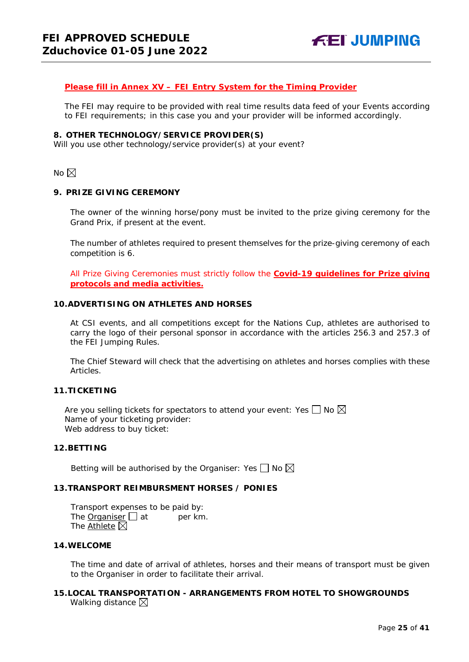## *Please fill in Annex XV – FEI Entry System for the Timing Provider*

The FEI may require to be provided with real time results data feed of your Events according to FEI requirements; in this case you and your provider will be informed accordingly.

## <span id="page-24-0"></span>**8. OTHER TECHNOLOGY/SERVICE PROVIDER(S)**

Will you use other technology/service provider(s) at your event?

No  $\boxtimes$ 

## <span id="page-24-1"></span>**9. PRIZE GIVING CEREMONY**

The owner of the winning horse/pony must be invited to the prize giving ceremony for the Grand Prix, if present at the event.

The number of athletes required to present themselves for the prize-giving ceremony of each competition is 6.

All Prize Giving Ceremonies must strictly follow the **Covid-19 guidelines for Prize giving protocols and media activities.**

## <span id="page-24-2"></span>**10.ADVERTISING ON ATHLETES AND HORSES**

At CSI events, and all competitions except for the Nations Cup, athletes are authorised to carry the logo of their personal sponsor in accordance with the articles 256.3 and 257.3 of the FEI Jumping Rules.

The Chief Steward will check that the advertising on athletes and horses complies with these Articles.

## <span id="page-24-3"></span>**11.TICKETING**

Are you selling tickets for spectators to attend your event: Yes  $\Box$  No  $\boxtimes$ Name of your ticketing provider: Web address to buy ticket:

## <span id="page-24-4"></span>**12.BETTING**

Betting will be authorised by the Organiser: Yes  $\Box$  No  $\boxtimes$ 

## <span id="page-24-5"></span>**13.TRANSPORT REIMBURSMENT HORSES / PONIES**

Transport expenses to be paid by: The **Organiser**  $\Box$  at per km. The Athlete  $\boxtimes$ 

## <span id="page-24-6"></span>**14.WELCOME**

The time and date of arrival of athletes, horses and their means of transport must be given to the Organiser in order to facilitate their arrival.

## <span id="page-24-7"></span>**15.LOCAL TRANSPORTATION - ARRANGEMENTS FROM HOTEL TO SHOWGROUNDS** Walking distance  $\boxtimes$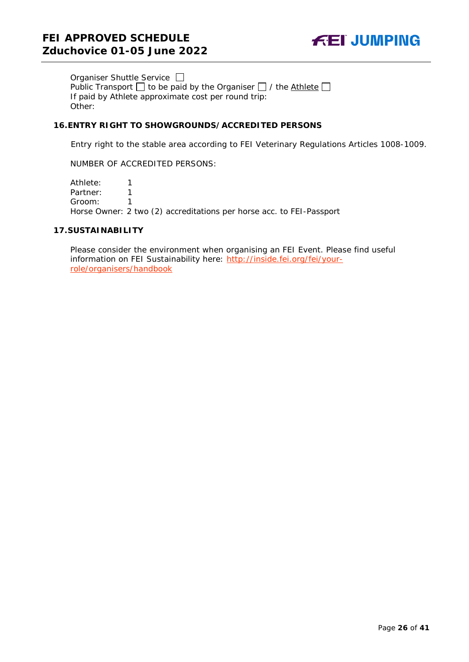

Organiser Shuttle Service  $\Box$ Public Transport  $\Box$  to be paid by the Organiser  $\Box$  / the Athlete  $\Box$ If paid by Athlete approximate cost per round trip: Other:

## <span id="page-25-0"></span>**16.ENTRY RIGHT TO SHOWGROUNDS/ACCREDITED PERSONS**

Entry right to the stable area according to FEI Veterinary Regulations Articles 1008-1009.

NUMBER OF ACCREDITED PERSONS:

Athlete: 1 Partner: 1<br>Groom: 1 Groom: 1 Horse Owner: 2 two (2) accreditations per horse acc. to FEI-Passport

## <span id="page-25-1"></span>**17.SUSTAINABILITY**

Please consider the environment when organising an FEI Event. Please find useful information on FEI Sustainability here: [http://inside.fei.org/fei/your](http://inside.fei.org/fei/your-role/organisers/handbook)[role/organisers/handbook](http://inside.fei.org/fei/your-role/organisers/handbook)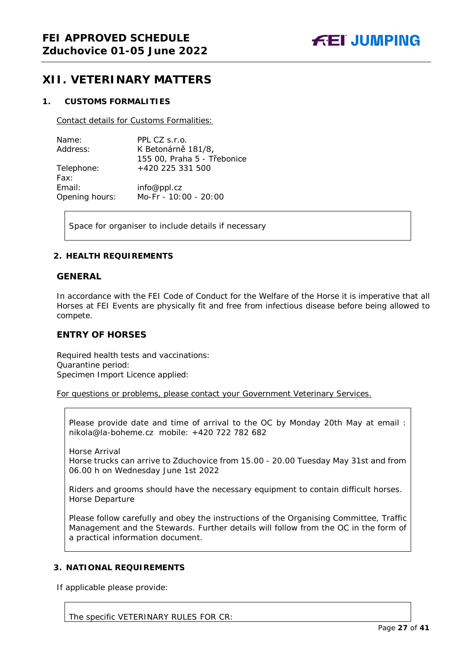## <span id="page-26-0"></span>**XII. VETERINARY MATTERS**

## <span id="page-26-1"></span>**1. CUSTOMS FORMALITIES**

Contact details for Customs Formalities:

| Name:          | PPL CZ s.r.o.               |
|----------------|-----------------------------|
| Address:       | K Betonárně 181/8,          |
|                | 155 00, Praha 5 - Třebonice |
| Telephone:     | +420 225 331 500            |
| Fax:           |                             |
| Email:         | info@ppl.cz                 |
| Opening hours: | Mo-Fr - 10:00 - 20:00       |

Space for organiser to include details if necessary

## <span id="page-26-2"></span>**2. HEALTH REQUIREMENTS**

## **GENERAL**

In accordance with the FEI Code of Conduct for the Welfare of the Horse it is imperative that all Horses at FEI Events are physically fit and free from infectious disease before being allowed to compete.

## **ENTRY OF HORSES**

Required health tests and vaccinations: Quarantine period: Specimen Import Licence applied:

For questions or problems, please contact your Government Veterinary Services.

Please provide date and time of arrival to the OC by Monday 20th May at email : nikola@la-boheme.cz mobile: +420 722 782 682

Horse Arrival Horse trucks can arrive to Zduchovice from 15.00 - 20.00 Tuesday May 31st and from 06.00 h on Wednesday June 1st 2022

Riders and grooms should have the necessary equipment to contain difficult horses. Horse Departure

Please follow carefully and obey the instructions of the Organising Committee, Traffic Management and the Stewards. Further details will follow from the OC in the form of a practical information document.

## <span id="page-26-3"></span>**3. NATIONAL REQUIREMENTS**

If applicable please provide:

The specific VETERINARY RULES FOR CR: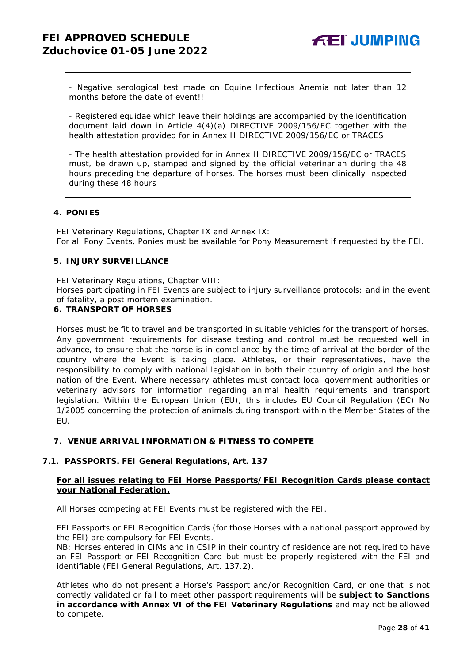- Negative serological test made on Equine Infectious Anemia not later than 12 months before the date of event!!

- Registered equidae which leave their holdings are accompanied by the identification document laid down in Article 4(4)(a) DIRECTIVE 2009/156/EC together with the health attestation provided for in Annex II DIRECTIVE 2009/156/EC or TRACES

- The health attestation provided for in Annex II DIRECTIVE 2009/156/EC or TRACES must, be drawn up, stamped and signed by the official veterinarian during the 48 hours preceding the departure of horses. The horses must been clinically inspected during these 48 hours

## <span id="page-27-0"></span>**4. PONIES**

FEI Veterinary Regulations, Chapter IX and Annex IX: For all Pony Events, Ponies must be available for Pony Measurement if requested by the FEI.

## <span id="page-27-1"></span>**5. INJURY SURVEILLANCE**

FEI Veterinary Regulations, Chapter VIII:

Horses participating in FEI Events are subject to injury surveillance protocols; and in the event of fatality, a post mortem examination.

## <span id="page-27-2"></span>**6. TRANSPORT OF HORSES**

Horses must be fit to travel and be transported in suitable vehicles for the transport of horses. Any government requirements for disease testing and control must be requested well in advance, to ensure that the horse is in compliance by the time of arrival at the border of the country where the Event is taking place. Athletes, or their representatives, have the responsibility to comply with national legislation in both their country of origin and the host nation of the Event. Where necessary athletes must contact local government authorities or veterinary advisors for information regarding animal health requirements and transport legislation. Within the European Union (EU), this includes EU Council Regulation (EC) No 1/2005 concerning the protection of animals during transport within the Member States of the EU.

## <span id="page-27-3"></span>**7. VENUE ARRIVAL INFORMATION & FITNESS TO COMPETE**

## **7.1. PASSPORTS. FEI General Regulations, Art. 137**

## **For all issues relating to FEI Horse Passports/FEI Recognition Cards please contact your National Federation.**

All Horses competing at FEI Events must be registered with the FEI.

FEI Passports or FEI Recognition Cards (for those Horses with a national passport approved by the FEI) are compulsory for FEI Events.

NB: Horses entered in CIMs and in CSIP in their country of residence are not required to have an FEI Passport or FEI Recognition Card but must be properly registered with the FEI and identifiable (FEI General Regulations, Art. 137.2).

Athletes who do not present a Horse's Passport and/or Recognition Card, or one that is not correctly validated or fail to meet other passport requirements will be **subject to Sanctions in accordance with Annex VI of the FEI Veterinary Regulations** and may not be allowed to compete.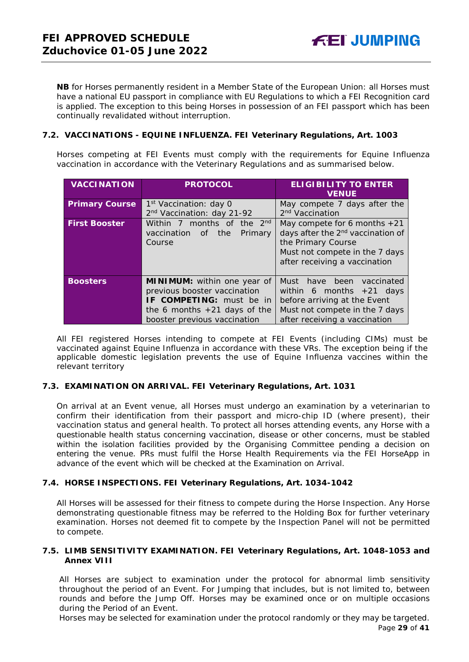**NB** for Horses permanently resident in a Member State of the European Union: all Horses must have a national EU passport in compliance with EU Regulations to which a FEI Recognition card is applied. The exception to this being Horses in possession of an FEI passport which has been continually revalidated without interruption.

**FEI JUMPING** 

## **7.2. VACCINATIONS - EQUINE INFLUENZA. FEI Veterinary Regulations, Art. 1003**

Horses competing at FEI Events must comply with the requirements for Equine Influenza vaccination in accordance with the Veterinary Regulations and as summarised below.

| <b>VACCINATION</b>    | <b>PROTOCOL</b>                        | <b>ELIGIBILITY TO ENTER</b><br><b>VENUE</b>   |  |  |
|-----------------------|----------------------------------------|-----------------------------------------------|--|--|
| <b>Primary Course</b> | 1 <sup>st</sup> Vaccination: day 0     | May compete 7 days after the                  |  |  |
|                       | 2 <sup>nd</sup> Vaccination: day 21-92 | 2 <sup>nd</sup> Vaccination                   |  |  |
| <b>First Booster</b>  | Within 7 months of the 2 <sup>nd</sup> | May compete for 6 months $+21$                |  |  |
|                       | vaccination<br>the<br>Primary<br>of    | days after the 2 <sup>nd</sup> vaccination of |  |  |
|                       | Course                                 | the Primary Course                            |  |  |
|                       |                                        | Must not compete in the 7 days                |  |  |
|                       |                                        | after receiving a vaccination                 |  |  |
|                       |                                        |                                               |  |  |
| <b>Boosters</b>       | MINIMUM: within one year of            | Must<br>been<br>have<br>vaccinated            |  |  |
|                       | previous booster vaccination           | within 6 months $+21$ days                    |  |  |
|                       | IF COMPETING: must be in               | before arriving at the Event                  |  |  |
|                       | the 6 months $+21$ days of the         | Must not compete in the 7 days                |  |  |
|                       | booster previous vaccination           | after receiving a vaccination                 |  |  |

All FEI registered Horses intending to compete at FEI Events (including CIMs) must be vaccinated against Equine Influenza in accordance with these VRs. The exception being if the applicable domestic legislation prevents the use of Equine Influenza vaccines within the relevant territory

## **7.3. EXAMINATION ON ARRIVAL. FEI Veterinary Regulations, Art. 1031**

On arrival at an Event venue, all Horses must undergo an examination by a veterinarian to confirm their identification from their passport and micro-chip ID (where present), their vaccination status and general health. To protect all horses attending events, any Horse with a questionable health status concerning vaccination, disease or other concerns, must be stabled within the isolation facilities provided by the Organising Committee pending a decision on entering the venue. PRs must fulfil the Horse Health Requirements via the FEI HorseApp in advance of the event which will be checked at the Examination on Arrival.

## **7.4. HORSE INSPECTIONS. FEI Veterinary Regulations, Art. 1034-1042**

All Horses will be assessed for their fitness to compete during the Horse Inspection. Any Horse demonstrating questionable fitness may be referred to the Holding Box for further veterinary examination. Horses not deemed fit to compete by the Inspection Panel will not be permitted to compete.

## **7.5. LIMB SENSITIVITY EXAMINATION. FEI Veterinary Regulations, Art. 1048-1053 and Annex VIII**

All Horses are subject to examination under the protocol for abnormal limb sensitivity throughout the period of an Event. For Jumping that includes, but is not limited to, between rounds and before the Jump Off. Horses may be examined once or on multiple occasions during the Period of an Event.

Page **29** of **41** Horses may be selected for examination under the protocol randomly or they may be targeted.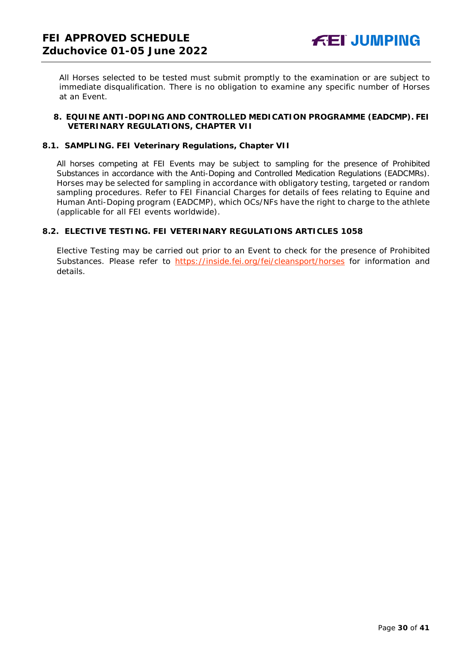All Horses selected to be tested must submit promptly to the examination or are subject to immediate disqualification. There is no obligation to examine any specific number of Horses at an Event.

## <span id="page-29-0"></span>**8. EQUINE ANTI-DOPING AND CONTROLLED MEDICATION PROGRAMME (EADCMP). FEI VETERINARY REGULATIONS, CHAPTER VII**

## **8.1. SAMPLING. FEI Veterinary Regulations, Chapter VII**

All horses competing at FEI Events may be subject to sampling for the presence of Prohibited Substances in accordance with the Anti-Doping and Controlled Medication Regulations (EADCMRs). Horses may be selected for sampling in accordance with obligatory testing, targeted or random sampling procedures. Refer to FEI Financial Charges for details of fees relating to Equine and Human Anti-Doping program (EADCMP), which OCs/NFs have the right to charge to the athlete (applicable for all FEI events worldwide).

## **8.2. ELECTIVE TESTING. FEI VETERINARY REGULATIONS ARTICLES 1058**

Elective Testing may be carried out prior to an Event to check for the presence of Prohibited Substances. Please refer to <https://inside.fei.org/fei/cleansport/horses> for information and details.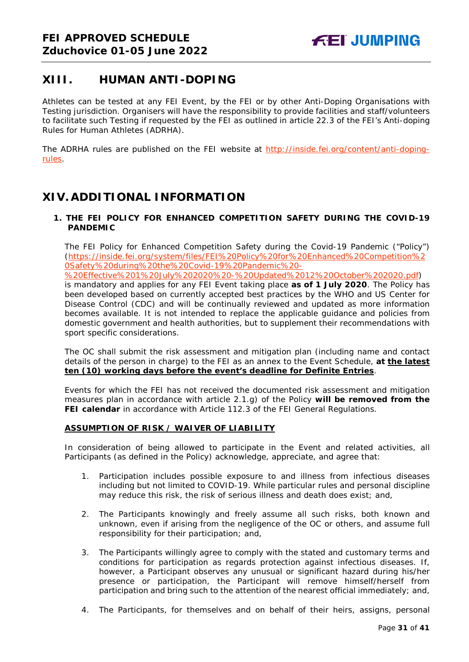## <span id="page-30-0"></span>**XIII. HUMAN ANTI-DOPING**

Athletes can be tested at any FEI Event, by the FEI or by other Anti-Doping Organisations with Testing jurisdiction. Organisers will have the responsibility to provide facilities and staff/volunteers to facilitate such Testing if requested by the FEI as outlined in article 22.3 of the FEI's Anti-doping Rules for Human Athletes (ADRHA).

The ADRHA rules are published on the FEI website at [http://inside.fei.org/content/anti-doping](http://inside.fei.org/content/anti-doping-rules)[rules.](http://inside.fei.org/content/anti-doping-rules)

## <span id="page-30-1"></span>**XIV. ADDITIONAL INFORMATION**

## <span id="page-30-2"></span>**1. THE FEI POLICY FOR ENHANCED COMPETITION SAFETY DURING THE COVID-19 PANDEMIC**

The FEI Policy for Enhanced Competition Safety during the Covid-19 Pandemic ("Policy") (https://inside.fei.org/system/files/FEI%20Policy%20for%20Enhanced%20Competition%2 0Safety%20during%20the%20Covid-19%20Pandemic%20-

%20Effective%201%20July%202020%20-%20Updated%2012%20October%202020.pdf) is mandatory and applies for any FEI Event taking place **as of 1 July 2020**. The Policy has been developed based on currently accepted best practices by the WHO and US Center for Disease Control (CDC) and will be continually reviewed and updated as more information becomes available. It is not intended to replace the applicable guidance and policies from domestic government and health authorities, but to supplement their recommendations with sport specific considerations.

The OC shall submit the risk assessment and mitigation plan (including name and contact details of the person in charge) to the FEI as an annex to the Event Schedule, **at the latest ten (10) working days before the event's deadline for Definite Entries**.

Events for which the FEI has not received the documented risk assessment and mitigation measures plan in accordance with article 2.1.g) of the Policy **will be removed from the FEI calendar** in accordance with Article 112.3 of the FEI General Regulations.

## **ASSUMPTION OF RISK / WAIVER OF LIABILITY**

In consideration of being allowed to participate in the Event and related activities, all Participants (as defined in the Policy) acknowledge, appreciate, and agree that:

- 1. Participation includes possible exposure to and illness from infectious diseases including but not limited to COVID-19. While particular rules and personal discipline may reduce this risk, the risk of serious illness and death does exist; and,
- 2. The Participants knowingly and freely assume all such risks, both known and unknown, even if arising from the negligence of the OC or others, and assume full responsibility for their participation; and,
- 3. The Participants willingly agree to comply with the stated and customary terms and conditions for participation as regards protection against infectious diseases. If, however, a Participant observes any unusual or significant hazard during his/her presence or participation, the Participant will remove himself/herself from participation and bring such to the attention of the nearest official immediately; and,
- 4. The Participants, for themselves and on behalf of their heirs, assigns, personal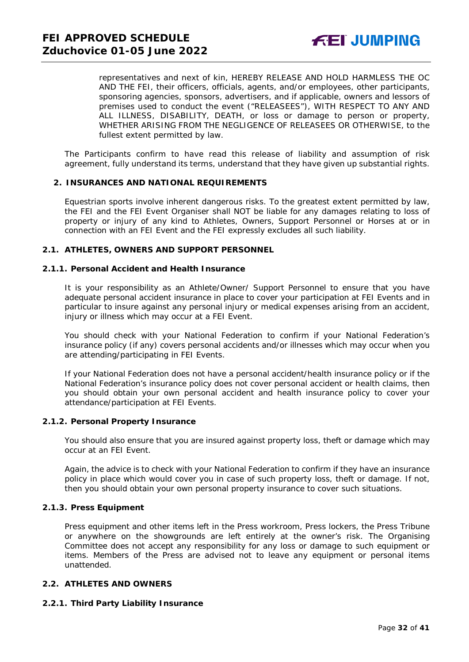representatives and next of kin, HEREBY RELEASE AND HOLD HARMLESS THE OC AND THE FEI, their officers, officials, agents, and/or employees, other participants, sponsoring agencies, sponsors, advertisers, and if applicable, owners and lessors of premises used to conduct the event ("RELEASEES"), WITH RESPECT TO ANY AND ALL ILLNESS, DISABILITY, DEATH, or loss or damage to person or property, WHETHER ARISING FROM THE NEGLIGENCE OF RELEASEES OR OTHERWISE, to the fullest extent permitted by law.

The Participants confirm to have read this release of liability and assumption of risk agreement, fully understand its terms, understand that they have given up substantial rights.

## <span id="page-31-0"></span>**2. INSURANCES AND NATIONAL REQUIREMENTS**

Equestrian sports involve inherent dangerous risks. To the greatest extent permitted by law, the FEI and the FEI Event Organiser shall NOT be liable for any damages relating to loss of property or injury of any kind to Athletes, Owners, Support Personnel or Horses at or in connection with an FEI Event and the FEI expressly excludes all such liability.

#### **2.1. ATHLETES, OWNERS AND SUPPORT PERSONNEL**

#### **2.1.1. Personal Accident and Health Insurance**

It is your responsibility as an Athlete/Owner/ Support Personnel to ensure that you have adequate personal accident insurance in place to cover your participation at FEI Events and in particular to insure against any personal injury or medical expenses arising from an accident, injury or illness which may occur at a FEI Event.

You should check with your National Federation to confirm if your National Federation's insurance policy (if any) covers personal accidents and/or illnesses which may occur when you are attending/participating in FEI Events.

If your National Federation does not have a personal accident/health insurance policy or if the National Federation's insurance policy does not cover personal accident or health claims, then you should obtain your own personal accident and health insurance policy to cover your attendance/participation at FEI Events.

### **2.1.2. Personal Property Insurance**

You should also ensure that you are insured against property loss, theft or damage which may occur at an FEI Event.

Again, the advice is to check with your National Federation to confirm if they have an insurance policy in place which would cover you in case of such property loss, theft or damage. If not, then you should obtain your own personal property insurance to cover such situations.

#### **2.1.3. Press Equipment**

Press equipment and other items left in the Press workroom, Press lockers, the Press Tribune or anywhere on the showgrounds are left entirely at the owner's risk. The Organising Committee does not accept any responsibility for any loss or damage to such equipment or items. Members of the Press are advised not to leave any equipment or personal items unattended.

## **2.2. ATHLETES AND OWNERS**

## **2.2.1. Third Party Liability Insurance**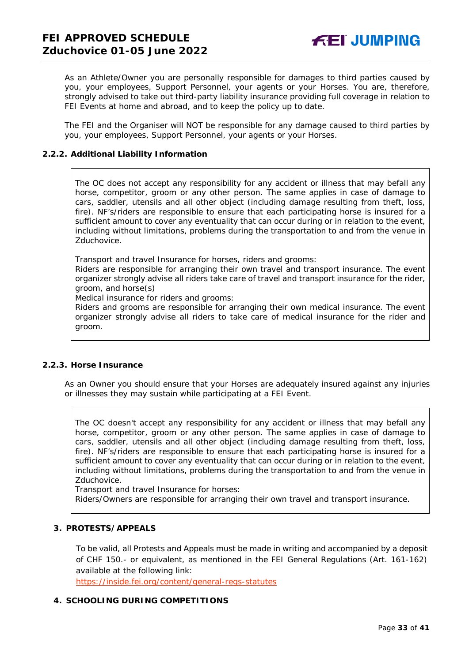As an Athlete/Owner you are personally responsible for damages to third parties caused by you, your employees, Support Personnel, your agents or your Horses. You are, therefore, strongly advised to take out third-party liability insurance providing full coverage in relation to FEI Events at home and abroad, and to keep the policy up to date.

The FEI and the Organiser will NOT be responsible for any damage caused to third parties by you, your employees, Support Personnel, your agents or your Horses.

## **2.2.2. Additional Liability Information**

The OC does not accept any responsibility for any accident or illness that may befall any horse, competitor, groom or any other person. The same applies in case of damage to cars, saddler, utensils and all other object (including damage resulting from theft, loss, fire). NF's/riders are responsible to ensure that each participating horse is insured for a sufficient amount to cover any eventuality that can occur during or in relation to the event, including without limitations, problems during the transportation to and from the venue in Zduchovice.

Transport and travel Insurance for horses, riders and grooms:

Riders are responsible for arranging their own travel and transport insurance. The event organizer strongly advise all riders take care of travel and transport insurance for the rider, groom, and horse(s)

Medical insurance for riders and grooms:

Riders and grooms are responsible for arranging their own medical insurance. The event organizer strongly advise all riders to take care of medical insurance for the rider and groom.

## **2.2.3. Horse Insurance**

As an Owner you should ensure that your Horses are adequately insured against any injuries or illnesses they may sustain while participating at a FEI Event.

The OC doesn't accept any responsibility for any accident or illness that may befall any horse, competitor, groom or any other person. The same applies in case of damage to cars, saddler, utensils and all other object (including damage resulting from theft, loss, fire). NF's/riders are responsible to ensure that each participating horse is insured for a sufficient amount to cover any eventuality that can occur during or in relation to the event, including without limitations, problems during the transportation to and from the venue in Zduchovice.

Transport and travel Insurance for horses:

Riders/Owners are responsible for arranging their own travel and transport insurance.

## <span id="page-32-0"></span>**3. PROTESTS/APPEALS**

To be valid, all Protests and Appeals must be made in writing and accompanied by a deposit of CHF 150.- or equivalent, as mentioned in the FEI General Regulations (Art. 161-162) available at the following link:

<https://inside.fei.org/content/general-regs-statutes>

## <span id="page-32-1"></span>**4. SCHOOLING DURING COMPETITIONS**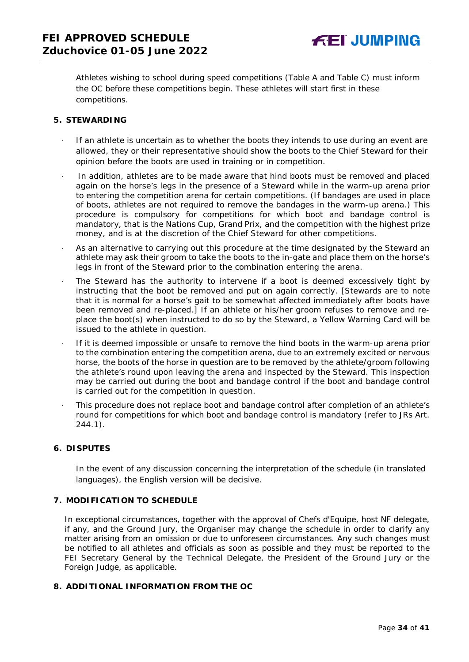Athletes wishing to school during speed competitions (Table A and Table C) must inform the OC before these competitions begin. These athletes will start first in these competitions.

## <span id="page-33-0"></span>**5. STEWARDING**

- If an athlete is uncertain as to whether the boots they intends to use during an event are allowed, they or their representative should show the boots to the Chief Steward for their opinion before the boots are used in training or in competition.
- In addition, athletes are to be made aware that hind boots must be removed and placed again on the horse's legs in the presence of a Steward while in the warm-up arena prior to entering the competition arena for certain competitions. (If bandages are used in place of boots, athletes are not required to remove the bandages in the warm-up arena.) This procedure is compulsory for competitions for which boot and bandage control is mandatory, that is the Nations Cup, Grand Prix, and the competition with the highest prize money, and is at the discretion of the Chief Steward for other competitions.
- As an alternative to carrying out this procedure at the time designated by the Steward an athlete may ask their groom to take the boots to the in-gate and place them on the horse's legs in front of the Steward prior to the combination entering the arena.
- The Steward has the authority to intervene if a boot is deemed excessively tight by instructing that the boot be removed and put on again correctly. *[Stewards are to note that it is normal for a horse's gait to be somewhat affected immediately after boots have been removed and re-placed.]* If an athlete or his/her groom refuses to remove and replace the boot(s) when instructed to do so by the Steward, a Yellow Warning Card will be issued to the athlete in question.
- · If it is deemed impossible or unsafe to remove the hind boots in the warm-up arena prior to the combination entering the competition arena, due to an extremely excited or nervous horse, the boots of the horse in question are to be removed by the athlete/groom following the athlete's round upon leaving the arena and inspected by the Steward. This inspection may be carried out during the boot and bandage control if the boot and bandage control is carried out for the competition in question.
- · This procedure does not replace boot and bandage control after completion of an athlete's round for competitions for which boot and bandage control is mandatory (refer to JRs Art. 244.1).

## <span id="page-33-1"></span>**6. DISPUTES**

In the event of any discussion concerning the interpretation of the schedule (in translated languages), the English version will be decisive.

## <span id="page-33-2"></span>**7. MODIFICATION TO SCHEDULE**

In exceptional circumstances, together with the approval of Chefs d'Equipe, host NF delegate, if any, and the Ground Jury, the Organiser may change the schedule in order to clarify any matter arising from an omission or due to unforeseen circumstances. Any such changes must be notified to all athletes and officials as soon as possible and they must be reported to the FEI Secretary General by the Technical Delegate, the President of the Ground Jury or the Foreign Judge, as applicable.

## <span id="page-33-3"></span>**8. ADDITIONAL INFORMATION FROM THE OC**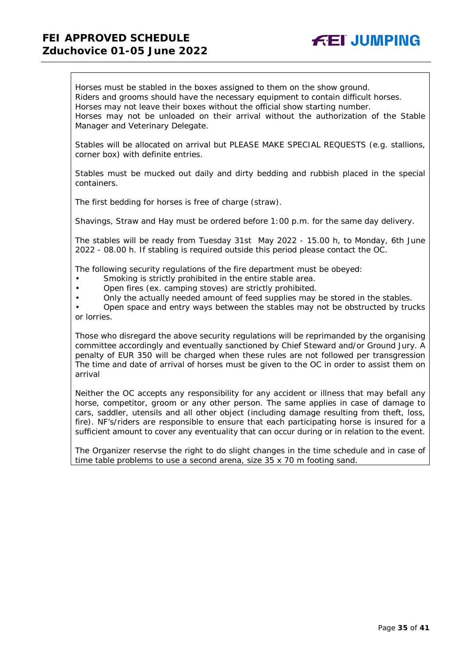## **FEI APPROVED SCHEDULE Zduchovice 01-05 June 2022**



Horses must be stabled in the boxes assigned to them on the show ground. Riders and grooms should have the necessary equipment to contain difficult horses. Horses may not leave their boxes without the official show starting number. Horses may not be unloaded on their arrival without the authorization of the Stable Manager and Veterinary Delegate.

Stables will be allocated on arrival but PLEASE MAKE SPECIAL REQUESTS (e.g. stallions, corner box) with definite entries.

Stables must be mucked out daily and dirty bedding and rubbish placed in the special containers.

The first bedding for horses is free of charge (straw).

Shavings, Straw and Hay must be ordered before 1:00 p.m. for the same day delivery.

The stables will be ready from Tuesday 31st May 2022 - 15.00 h, to Monday, 6th June 2022 - 08.00 h. If stabling is required outside this period please contact the OC.

The following security regulations of the fire department must be obeyed:

- Smoking is strictly prohibited in the entire stable area.
- Open fires (ex. camping stoves) are strictly prohibited.
- Only the actually needed amount of feed supplies may be stored in the stables.

• Open space and entry ways between the stables may not be obstructed by trucks or lorries.

Those who disregard the above security regulations will be reprimanded by the organising committee accordingly and eventually sanctioned by Chief Steward and/or Ground Jury. A penalty of EUR 350 will be charged when these rules are not followed per transgression The time and date of arrival of horses must be given to the OC in order to assist them on arrival

Neither the OC accepts any responsibility for any accident or illness that may befall any horse, competitor, groom or any other person. The same applies in case of damage to cars, saddler, utensils and all other object (including damage resulting from theft, loss, fire). NF's/riders are responsible to ensure that each participating horse is insured for a sufficient amount to cover any eventuality that can occur during or in relation to the event.

The Organizer reservse the right to do slight changes in the time schedule and in case of time table problems to use a second arena, size 35 x 70 m footing sand.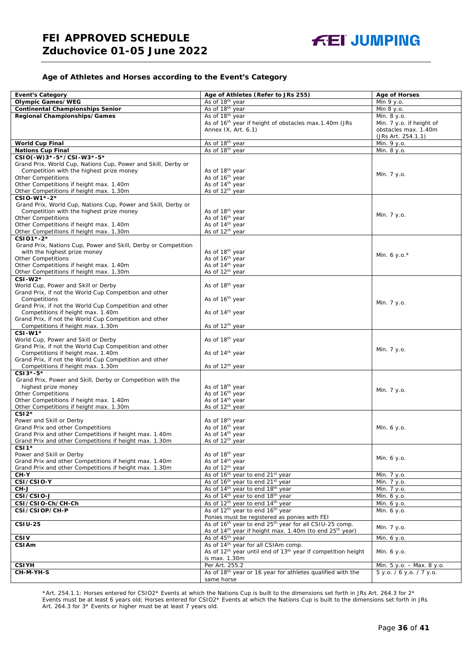## **Age of Athletes and Horses according to the Event's Category**

| <b>Event's Category</b>                                                                                   | Age of Athletes (Refer to JRs 255)                                                                                             | <b>Age of Horses</b>      |
|-----------------------------------------------------------------------------------------------------------|--------------------------------------------------------------------------------------------------------------------------------|---------------------------|
| <b>Olympic Games/WEG</b>                                                                                  | As of 18 <sup>th</sup> year                                                                                                    | Min 9 y.o.                |
| <b>Continental Championships Senior</b>                                                                   | As of 18 <sup>th</sup> year                                                                                                    | Min 8 y.o.                |
| Regional Championships/Games                                                                              | As of 18 <sup>th</sup> year                                                                                                    | Min. 8 y.o.               |
|                                                                                                           | As of 16 <sup>th</sup> year if height of obstacles max.1.40m (JRs                                                              | Min. 7 y.o. if height of  |
|                                                                                                           | Annex IX, Art. 6.1)                                                                                                            | obstacles max. 1.40m      |
|                                                                                                           |                                                                                                                                | (JRs Art. 254.1.1)        |
| <b>World Cup Final</b>                                                                                    | As of 18th year                                                                                                                | Min. 9 y.o.               |
| <b>Nations Cup Final</b>                                                                                  | As of 18th year                                                                                                                | Min. 8 y.o.               |
| CSIO(-W)3*-5*/CSI-W3*-5*                                                                                  |                                                                                                                                |                           |
| Grand Prix, World Cup, Nations Cup, Power and Skill, Derby or                                             |                                                                                                                                |                           |
| Competition with the highest prize money                                                                  | As of 18 <sup>th</sup> year                                                                                                    | Min. 7 y.o.               |
| <b>Other Competitions</b>                                                                                 | As of 16th year                                                                                                                |                           |
| Other Competitions if height max. 1.40m                                                                   | As of 14 <sup>th</sup> year                                                                                                    |                           |
| Other Competitions if height max. 1.30m                                                                   | As of 12 <sup>th</sup> year                                                                                                    |                           |
| CSIO-W1*-2*                                                                                               |                                                                                                                                |                           |
| Grand Prix, World Cup, Nations Cup, Power and Skill, Derby or<br>Competition with the highest prize money | As of 18 <sup>th</sup> year                                                                                                    |                           |
| <b>Other Competitions</b>                                                                                 | As of 16 <sup>th</sup> year                                                                                                    | Min. 7 y.o.               |
| Other Competitions if height max. 1.40m                                                                   | As of 14 <sup>th</sup> year                                                                                                    |                           |
| Other Competitions if height max. 1.30m                                                                   | As of 12 <sup>th</sup> year                                                                                                    |                           |
| CSI01*-2*                                                                                                 |                                                                                                                                |                           |
| Grand Prix, Nations Cup, Power and Skill, Derby or Competition                                            |                                                                                                                                |                           |
| with the highest prize money                                                                              | As of 18 <sup>th</sup> year                                                                                                    |                           |
| <b>Other Competitions</b>                                                                                 | As of 16 <sup>th</sup> year                                                                                                    | Min. 6 y.o. $*$           |
| Other Competitions if height max. 1.40m                                                                   | As of 14 <sup>th</sup> year                                                                                                    |                           |
| Other Competitions if height max. 1.30m                                                                   | As of 12 <sup>th</sup> year                                                                                                    |                           |
| $CSI-W2*$                                                                                                 |                                                                                                                                |                           |
| World Cup, Power and Skill or Derby                                                                       | As of 18 <sup>th</sup> year                                                                                                    |                           |
| Grand Prix, if not the World Cup Competition and other                                                    |                                                                                                                                |                           |
| Competitions                                                                                              | As of 16 <sup>th</sup> year                                                                                                    | Min. 7 y.o.               |
| Grand Prix, if not the World Cup Competition and other                                                    |                                                                                                                                |                           |
| Competitions if height max. 1.40m<br>Grand Prix, if not the World Cup Competition and other               | As of 14 <sup>th</sup> year                                                                                                    |                           |
| Competitions if height max. 1.30m                                                                         | As of 12 <sup>th</sup> year                                                                                                    |                           |
| $CSI-W1*$                                                                                                 |                                                                                                                                |                           |
| World Cup, Power and Skill or Derby                                                                       | As of 18 <sup>th</sup> year                                                                                                    |                           |
| Grand Prix, if not the World Cup Competition and other                                                    |                                                                                                                                |                           |
| Competitions if height max. 1.40m                                                                         | As of 14 <sup>th</sup> year                                                                                                    | Min. 7 y.o.               |
| Grand Prix, if not the World Cup Competition and other                                                    |                                                                                                                                |                           |
| Competitions if height max. 1.30m                                                                         | As of 12 <sup>th</sup> year                                                                                                    |                           |
| $CSI3*-5*$                                                                                                |                                                                                                                                |                           |
| Grand Prix, Power and Skill, Derby or Competition with the                                                |                                                                                                                                |                           |
| highest prize money                                                                                       | As of 18 <sup>th</sup> year                                                                                                    | Min. 7 y.o.               |
| <b>Other Competitions</b>                                                                                 | As of 16 <sup>th</sup> year                                                                                                    |                           |
| Other Competitions if height max. 1.40m                                                                   | As of 14 <sup>th</sup> year                                                                                                    |                           |
| Other Competitions if height max. 1.30m<br>$CSI2*$                                                        | As of 12 <sup>th</sup> year                                                                                                    |                           |
| Power and Skill or Derby                                                                                  | As of 18th year                                                                                                                |                           |
| Grand Prix and other Competitions                                                                         | As of 16 <sup>th</sup> year                                                                                                    | Min. 6 y.o.               |
| Grand Prix and other Competitions if height max. 1.40m                                                    | As of 14 <sup>th</sup> year                                                                                                    |                           |
| Grand Prix and other Competitions if height max. 1.30m                                                    | As of 12 <sup>th</sup> year                                                                                                    |                           |
| $CSI1*$                                                                                                   |                                                                                                                                |                           |
| Power and Skill or Derby                                                                                  | As of 18 <sup>th</sup> year                                                                                                    |                           |
| Grand Prix and other Competitions if height max. 1.40m                                                    | As of 14 <sup>th</sup> year                                                                                                    | Min. 6 y.o.               |
| Grand Prix and other Competitions if height max. 1.30m                                                    | As of 12 <sup>th</sup> year                                                                                                    |                           |
| CH-Y                                                                                                      | As of 16 <sup>th</sup> year to end 21 <sup>st</sup> year                                                                       | Min. 7 y.o.               |
| CSI/CSIO-Y                                                                                                | As of 16 <sup>th</sup> year to end 21 <sup>st</sup> year                                                                       | Min. 7 y.o.               |
| CH-J                                                                                                      | As of 14 <sup>th</sup> year to end 18 <sup>th</sup> year                                                                       | Min. 7 y.o.               |
| CSI/CSIO-J                                                                                                | As of 14 <sup>th</sup> year to end 18 <sup>th</sup> year                                                                       | Min. 6 y.o.               |
| CSI/CSIO-Ch/CH-Ch                                                                                         | As of 12 <sup>th</sup> year to end 14 <sup>th</sup> year                                                                       | Min. 6 y.o.               |
| CSI/CSIOP/CH-P                                                                                            | As of 12 <sup>th</sup> year to end 16 <sup>th</sup> year                                                                       | Min. 6 y.o.               |
| <b>CSIU-25</b>                                                                                            | Ponies must be registered as ponies with FEI<br>As of 16 <sup>th</sup> year to end 25 <sup>th</sup> year for all CSIU-25 comp. |                           |
|                                                                                                           | As of 14 <sup>th</sup> year if height max. 1.40m (to end 25 <sup>th</sup> year)                                                | Min. 7 y.o.               |
| <b>CSIV</b>                                                                                               | As of 45 <sup>th</sup> year                                                                                                    | Min. 6 y.o.               |
| <b>CSIAm</b>                                                                                              | As of 14 <sup>th</sup> year for all CSIAm comp.                                                                                |                           |
|                                                                                                           | As of 12 <sup>th</sup> year until end of 13 <sup>th</sup> year if competition height                                           | Min. 6 y.o.               |
|                                                                                                           | is max. 1.30m                                                                                                                  |                           |
| <b>CSIYH</b>                                                                                              | Per Art. 255.2                                                                                                                 | Min. 5 y.o. - Max. 8 y.o. |
| CH-M-YH-S                                                                                                 | As of 18th year or 16 year for athletes qualified with the                                                                     | 5 y.o. / 6 y.o. / 7 y.o.  |
|                                                                                                           | same horse                                                                                                                     |                           |

\*Art. 254.1.1: Horses entered for CSIO2\* Events at which the Nations Cup is built to the dimensions set forth in JRs Art. 264.3 for 2\* Events must be at least 6 years old; Horses entered for CSIO2\* Events at which the Nations Cup is built to the dimensions set forth in JRs Art. 264.3 for 3\* Events or higher must be at least 7 years old.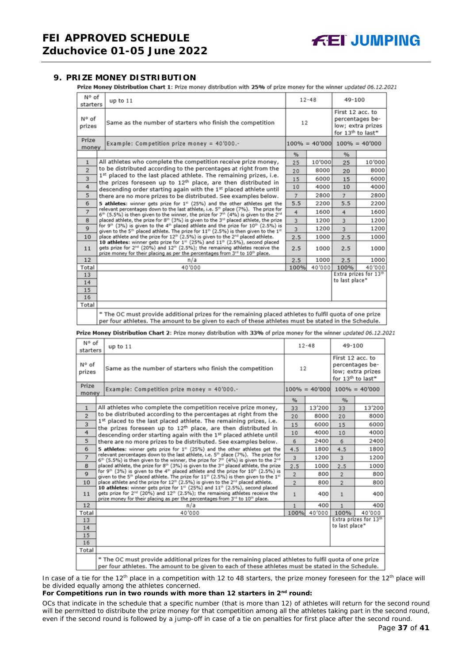## <span id="page-36-0"></span>**9. PRIZE MONEY DISTRIBUTION**

Prize Money Distribution Chart 1: Prize money distribution with 25% of prize money for the winner updated 06.12.2021

| N° of<br>starters | up to 11                                                                                                                                                                                                                                                                                                                                                                                                                                                                                                                                                                                                                                                                                                                                                                          | $12 - 48$ |        | 49-100                                                                                    |                                   |  |
|-------------------|-----------------------------------------------------------------------------------------------------------------------------------------------------------------------------------------------------------------------------------------------------------------------------------------------------------------------------------------------------------------------------------------------------------------------------------------------------------------------------------------------------------------------------------------------------------------------------------------------------------------------------------------------------------------------------------------------------------------------------------------------------------------------------------|-----------|--------|-------------------------------------------------------------------------------------------|-----------------------------------|--|
| N° of<br>prizes   | Same as the number of starters who finish the competition                                                                                                                                                                                                                                                                                                                                                                                                                                                                                                                                                                                                                                                                                                                         | 12        |        | First 12 acc. to<br>percentages be-<br>low; extra prizes<br>for 13 <sup>th</sup> to last* |                                   |  |
| Prize<br>money    | Example: Competition prize money = $40'000$ .-                                                                                                                                                                                                                                                                                                                                                                                                                                                                                                                                                                                                                                                                                                                                    |           |        |                                                                                           | $100\% = 40'000$ $100\% = 40'000$ |  |
|                   |                                                                                                                                                                                                                                                                                                                                                                                                                                                                                                                                                                                                                                                                                                                                                                                   | %         |        | %                                                                                         |                                   |  |
| $\mathbf{1}$      | All athletes who complete the competition receive prize money,                                                                                                                                                                                                                                                                                                                                                                                                                                                                                                                                                                                                                                                                                                                    | 25        | 10'000 | 25                                                                                        | 10'000                            |  |
| $\overline{2}$    | to be distributed according to the percentages at right from the                                                                                                                                                                                                                                                                                                                                                                                                                                                                                                                                                                                                                                                                                                                  | 20        | 8000   | 20                                                                                        | 8000                              |  |
| 3                 | 1st placed to the last placed athlete. The remaining prizes, i.e.<br>the prizes foreseen up to 12 <sup>th</sup> place, are then distributed in                                                                                                                                                                                                                                                                                                                                                                                                                                                                                                                                                                                                                                    | 15        | 6000   | 15                                                                                        | 6000                              |  |
| 4                 | descending order starting again with the 1st placed athlete until                                                                                                                                                                                                                                                                                                                                                                                                                                                                                                                                                                                                                                                                                                                 | 10        | 4000   | 10                                                                                        | 4000                              |  |
| 5                 | there are no more prizes to be distributed. See examples below.                                                                                                                                                                                                                                                                                                                                                                                                                                                                                                                                                                                                                                                                                                                   | 7         | 2800   | $\overline{7}$                                                                            | 2800                              |  |
| 6                 | 5 athletes: winner gets prize for 1 <sup>#</sup> (25%) and the other athletes get the                                                                                                                                                                                                                                                                                                                                                                                                                                                                                                                                                                                                                                                                                             | 5.5       | 2200   | 5.5                                                                                       | 2200                              |  |
| $\overline{7}$    | relevant percentages down to the last athlete, i.e. 5 <sup>th</sup> place (7%). The prize for<br>$6th$ (5.5%) is then given to the winner, the prize for 7 <sup>th</sup> (4%) is given to the 2 <sup>nd</sup>                                                                                                                                                                                                                                                                                                                                                                                                                                                                                                                                                                     |           |        | 4                                                                                         | 1600                              |  |
| 8                 | placed athlete, the prize for 8th (3%) is given to the 3rd placed athlete, the prize<br>for 9 <sup>th</sup> (3%) is given to the 4 <sup>th</sup> placed athlete and the prize for 10 <sup>th</sup> (2.5%) is<br>$\mathbf{Q}$<br>given to the 5 <sup>th</sup> placed athlete. The prize for $11th$ (2.5%) is then given to the $1th$<br>place athlete and the prize for 12 <sup>th</sup> (2.5%) is given to the 2 <sup>nd</sup> placed athlete.<br>10<br>10 athletes: winner gets prize for 1 <sup>st</sup> (25%) and 11 <sup>th</sup> (2.5%), second placed<br>gets prize for 2 <sup>nd</sup> (20%) and 12 <sup>th</sup> (2.5%); the remaining athletes receive the<br>11<br>prize money for their placing as per the percentages from 3 <sup>rd</sup> to 10 <sup>th</sup> place. |           | 1200   | $\overline{3}$                                                                            | 1200                              |  |
|                   |                                                                                                                                                                                                                                                                                                                                                                                                                                                                                                                                                                                                                                                                                                                                                                                   |           | 1200   | $\overline{3}$                                                                            | 1200                              |  |
|                   |                                                                                                                                                                                                                                                                                                                                                                                                                                                                                                                                                                                                                                                                                                                                                                                   |           | 1000   | 2.5                                                                                       | 1000                              |  |
|                   |                                                                                                                                                                                                                                                                                                                                                                                                                                                                                                                                                                                                                                                                                                                                                                                   |           | 1000   | 2.5                                                                                       | 1000                              |  |
| 12                | n/a                                                                                                                                                                                                                                                                                                                                                                                                                                                                                                                                                                                                                                                                                                                                                                               | 2.5       | 1000   | 2.5                                                                                       | 1000                              |  |
| Total             | 40'000                                                                                                                                                                                                                                                                                                                                                                                                                                                                                                                                                                                                                                                                                                                                                                            | 100%      | 40'000 | 100%                                                                                      | 40'000                            |  |
| 13                |                                                                                                                                                                                                                                                                                                                                                                                                                                                                                                                                                                                                                                                                                                                                                                                   |           |        |                                                                                           | Extra prizes for 13th             |  |
| 14                |                                                                                                                                                                                                                                                                                                                                                                                                                                                                                                                                                                                                                                                                                                                                                                                   |           |        | to last place*                                                                            |                                   |  |
| 15                |                                                                                                                                                                                                                                                                                                                                                                                                                                                                                                                                                                                                                                                                                                                                                                                   |           |        |                                                                                           |                                   |  |
| 16                |                                                                                                                                                                                                                                                                                                                                                                                                                                                                                                                                                                                                                                                                                                                                                                                   |           |        |                                                                                           |                                   |  |
| Total             |                                                                                                                                                                                                                                                                                                                                                                                                                                                                                                                                                                                                                                                                                                                                                                                   |           |        |                                                                                           |                                   |  |
|                   | * The OC must provide additional prizes for the remaining placed athletes to fulfil quota of one prize<br>per four athletes. The amount to be given to each of these athletes must be stated in the Schedule.                                                                                                                                                                                                                                                                                                                                                                                                                                                                                                                                                                     |           |        |                                                                                           |                                   |  |

Prize Money Distribution Chart 2: Prize money distribution with 33% of prize money for the winner updated 06.12.2021

| N° of<br>starters | up to $11$                                                                                                                                                                                                                                                                                                                                                                     |                | $12 - 48$ |                                                                                           | 49-100                            |  |
|-------------------|--------------------------------------------------------------------------------------------------------------------------------------------------------------------------------------------------------------------------------------------------------------------------------------------------------------------------------------------------------------------------------|----------------|-----------|-------------------------------------------------------------------------------------------|-----------------------------------|--|
| N° of<br>prizes   | Same as the number of starters who finish the competition                                                                                                                                                                                                                                                                                                                      | 12             |           | First 12 acc. to<br>percentages be-<br>low; extra prizes<br>for 13 <sup>th</sup> to last* |                                   |  |
| Prize<br>money    | Example: Competition prize money = 40'000.-                                                                                                                                                                                                                                                                                                                                    |                |           |                                                                                           | $100\% = 40'000$ $100\% = 40'000$ |  |
|                   |                                                                                                                                                                                                                                                                                                                                                                                | $\frac{9}{6}$  |           | %                                                                                         |                                   |  |
| $\mathbf{1}$      | All athletes who complete the competition receive prize money,                                                                                                                                                                                                                                                                                                                 | 33             | 13'200    | 33                                                                                        | 13'200                            |  |
| $\overline{2}$    | to be distributed according to the percentages at right from the                                                                                                                                                                                                                                                                                                               | 20             | 8000      | 20                                                                                        | 8000                              |  |
| 3                 | 1st placed to the last placed athlete. The remaining prizes, i.e.<br>the prizes foreseen up to 12 <sup>th</sup> place, are then distributed in                                                                                                                                                                                                                                 | 15             | 6000      | 15                                                                                        | 6000                              |  |
| 4                 | descending order starting again with the 1st placed athlete until                                                                                                                                                                                                                                                                                                              | 10             | 4000      | 10                                                                                        | 4000                              |  |
| 5                 | there are no more prizes to be distributed. See examples below.                                                                                                                                                                                                                                                                                                                | 6              | 2400      | 6                                                                                         | 2400                              |  |
| 6                 | 5 athletes: winner gets prize for $1st$ (25%) and the other athletes get the                                                                                                                                                                                                                                                                                                   |                |           | 4.5                                                                                       | 1800                              |  |
| $\overline{7}$    | relevant percentages down to the last athlete, i.e. 5 <sup>th</sup> place (7%). The prize for<br>6 <sup>th</sup> (5.5%) is then given to the winner, the prize for 7 <sup>th</sup> (4%) is given to the 2 <sup>nd</sup>                                                                                                                                                        | 3              | 1200      | $\overline{3}$                                                                            | 1200                              |  |
| 8                 | placed athlete, the prize for 8th (3%) is given to the 3 <sup>rd</sup> placed athlete, the prize                                                                                                                                                                                                                                                                               | 2.5            | 1000      | 2.5                                                                                       | 1000                              |  |
| $\mathbf Q$       | for 9th (3%) is given to the 4th placed athlete and the prize for 10th (2.5%) is<br>given to the 5 <sup>th</sup> placed athlete. The prize for 11 <sup>th</sup> (2.5%) is then given to the 1 <sup>st</sup>                                                                                                                                                                    | $\overline{2}$ | 800       | $\overline{2}$                                                                            | 800                               |  |
| 10                | place athlete and the prize for 12 <sup>th</sup> (2.5%) is given to the 2 <sup>rd</sup> placed athlete.<br>10 athletes: winner gets prize for 1st (25%) and 11th (2.5%), second placed<br>gets prize for 2 <sup>nd</sup> (20%) and 12 <sup>th</sup> (2.5%); the remaining athletes receive the<br>prize money for their placing as per the percentages from 3rd to 10th place. |                | 800       | $\overline{2}$                                                                            | 800                               |  |
| 11                |                                                                                                                                                                                                                                                                                                                                                                                |                | 400       | $\mathbf{1}$                                                                              | 400                               |  |
| 12                | n/a                                                                                                                                                                                                                                                                                                                                                                            | 1              | 400       | 1                                                                                         | 400                               |  |
| Total             | 40'000                                                                                                                                                                                                                                                                                                                                                                         | 100%           | 40'000    | 100%                                                                                      | 40'000                            |  |
| 13                |                                                                                                                                                                                                                                                                                                                                                                                |                |           |                                                                                           | Extra prizes for 13th             |  |
| 14                |                                                                                                                                                                                                                                                                                                                                                                                |                |           | to last place*                                                                            |                                   |  |
| 15                |                                                                                                                                                                                                                                                                                                                                                                                |                |           |                                                                                           |                                   |  |
| 16                |                                                                                                                                                                                                                                                                                                                                                                                |                |           |                                                                                           |                                   |  |
| Total             |                                                                                                                                                                                                                                                                                                                                                                                |                |           |                                                                                           |                                   |  |
|                   | * The OC must provide additional prizes for the remaining placed athletes to fulfil quota of one prize<br>per four athletes. The amount to be given to each of these athletes must be stated in the Schedule.                                                                                                                                                                  |                |           |                                                                                           |                                   |  |

In case of a tie for the 12<sup>th</sup> place in a competition with 12 to 48 starters, the prize money foreseen for the 12<sup>th</sup> place will be divided equally among the athletes concerned.

#### **For Competitions run in two rounds with more than 12 starters in 2nd round:**

*OCs that indicate in the schedule that a specific number (that is more than 12) of athletes will return for the second round will be permitted to distribute the prize money for that competition among all the athletes taking part in the second round, even if the second round is followed by a jump-off in case of a tie on penalties for first place after the second round.*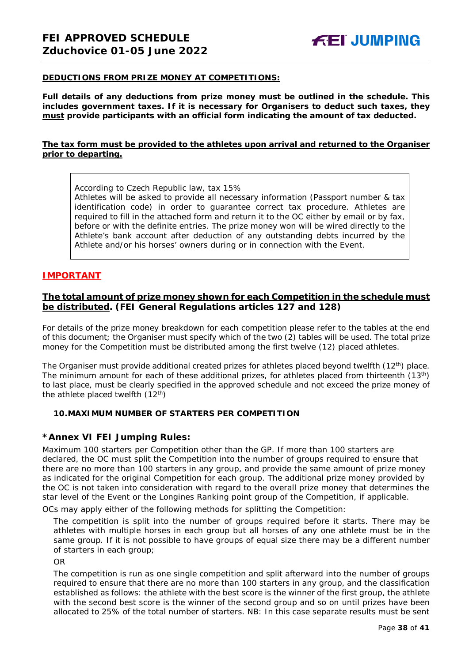## **DEDUCTIONS FROM PRIZE MONEY AT COMPETITIONS:**

**Full details of any deductions from prize money must be outlined in the schedule. This includes government taxes. If it is necessary for Organisers to deduct such taxes, they must provide participants with an official form indicating the amount of tax deducted.** 

## **The tax form must be provided to the athletes upon arrival and returned to the Organiser prior to departing.**

According to Czech Republic law, tax 15%

Athletes will be asked to provide all necessary information (Passport number & tax identification code) in order to guarantee correct tax procedure. Athletes are required to fill in the attached form and return it to the OC either by email or by fax, before or with the definite entries. The prize money won will be wired directly to the Athlete's bank account after deduction of any outstanding debts incurred by the Athlete and/or his horses' owners during or in connection with the Event.

## **IMPORTANT**

## **The total amount of prize money shown for each Competition in the schedule must be distributed. (FEI General Regulations articles 127 and 128)**

For details of the prize money breakdown for each competition please refer to the tables at the end of this document; the Organiser must specify which of the two (2) tables will be used. The total prize money for the Competition must be distributed among the first twelve (12) placed athletes.

The Organiser must provide additional created prizes for athletes placed beyond twelfth  $(12<sup>th</sup>)$  place. The minimum amount for each of these additional prizes, for athletes placed from thirteenth (13<sup>th</sup>) to last place, must be clearly specified in the approved schedule and not exceed the prize money of the athlete placed twelfth  $(12<sup>th</sup>)$ 

## <span id="page-37-0"></span>**10.MAXIMUM NUMBER OF STARTERS PER COMPETITION**

## **\*Annex VI FEI Jumping Rules:**

Maximum 100 starters per Competition other than the GP. If more than 100 starters are declared, the OC must split the Competition into the number of groups required to ensure that there are no more than 100 starters in any group, and provide the same amount of prize money as indicated for the original Competition for each group. The additional prize money provided by the OC is not taken into consideration with regard to the overall prize money that determines the star level of the Event or the Longines Ranking point group of the Competition, if applicable.

OCs may apply either of the following methods for splitting the Competition:

The competition is split into the number of groups required before it starts. There may be athletes with multiple horses in each group but all horses of any one athlete must be in the same group. If it is not possible to have groups of equal size there may be a different number of starters in each group;

OR

The competition is run as one single competition and split afterward into the number of groups required to ensure that there are no more than 100 starters in any group, and the classification established as follows: the athlete with the best score is the winner of the first group, the athlete with the second best score is the winner of the second group and so on until prizes have been allocated to 25% of the total number of starters. *NB: In this case separate results must be sent*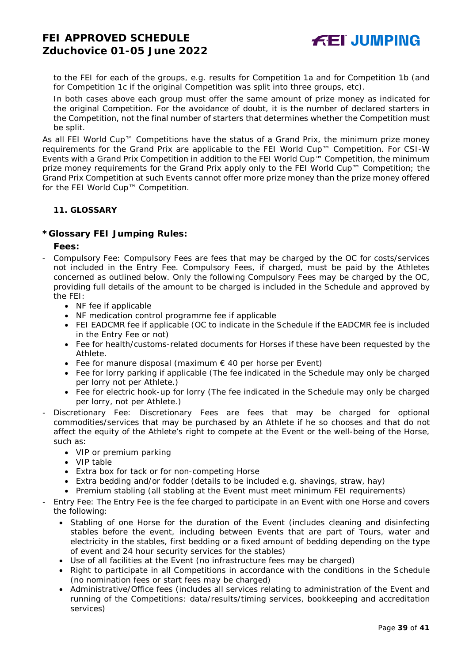*to the FEI for each of the groups, e.g. results for Competition 1a and for Competition 1b (and for Competition 1c if the original Competition was split into three groups, etc).*

In both cases above each group must offer the same amount of prize money as indicated for the original Competition. For the avoidance of doubt, it is the number of declared starters in the Competition, not the final number of starters that determines whether the Competition must be split.

As all FEI World Cup™ Competitions have the status of a Grand Prix, the minimum prize money requirements for the Grand Prix are applicable to the FEI World Cup™ Competition. For CSI-W Events with a Grand Prix Competition in addition to the FEI World Cup™ Competition, the minimum prize money requirements for the Grand Prix apply only to the FEI World Cup™ Competition; the Grand Prix Competition at such Events cannot offer more prize money than the prize money offered for the FEI World Cup™ Competition.

## <span id="page-38-0"></span>**11. GLOSSARY**

## **\*Glossary FEI Jumping Rules:**

## **Fees:**

- Compulsory Fee: Compulsory Fees are fees that may be charged by the OC for costs/services not included in the Entry Fee. Compulsory Fees, if charged, must be paid by the Athletes concerned as outlined below. Only the following Compulsory Fees may be charged by the OC, providing full details of the amount to be charged is included in the Schedule and approved by the FEI:
	- NF fee if applicable
	- NF medication control programme fee if applicable
	- FEI EADCMR fee if applicable (OC to indicate in the Schedule if the EADCMR fee is included in the Entry Fee or not)
	- Fee for health/customs-related documents for Horses if these have been requested by the Athlete.
	- Fee for manure disposal (maximum  $\epsilon$  40 per horse per Event)
	- Fee for lorry parking if applicable (The fee indicated in the Schedule may only be charged per lorry not per Athlete.)
	- Fee for electric hook-up for lorry (The fee indicated in the Schedule may only be charged per lorry, not per Athlete.)
- Discretionary Fee: Discretionary Fees are fees that may be charged for optional commodities/services that may be purchased by an Athlete if he so chooses and that do not affect the equity of the Athlete's right to compete at the Event or the well-being of the Horse, such as:
	- VIP or premium parking
	- VIP table
	- Extra box for tack or for non-competing Horse
	- Extra bedding and/or fodder (details to be included e.g. shavings, straw, hay)
	- Premium stabling (all stabling at the Event must meet minimum FEI requirements)
- Entry Fee: The Entry Fee is the fee charged to participate in an Event with one Horse and covers the following:
	- Stabling of one Horse for the duration of the Event (includes cleaning and disinfecting stables before the event, including between Events that are part of Tours, water and electricity in the stables, first bedding or a fixed amount of bedding depending on the type of event and 24 hour security services for the stables)
	- Use of all facilities at the Event (no infrastructure fees may be charged)
	- Right to participate in all Competitions in accordance with the conditions in the Schedule (no nomination fees or start fees may be charged)
	- Administrative/Office fees (includes all services relating to administration of the Event and running of the Competitions: data/results/timing services, bookkeeping and accreditation services)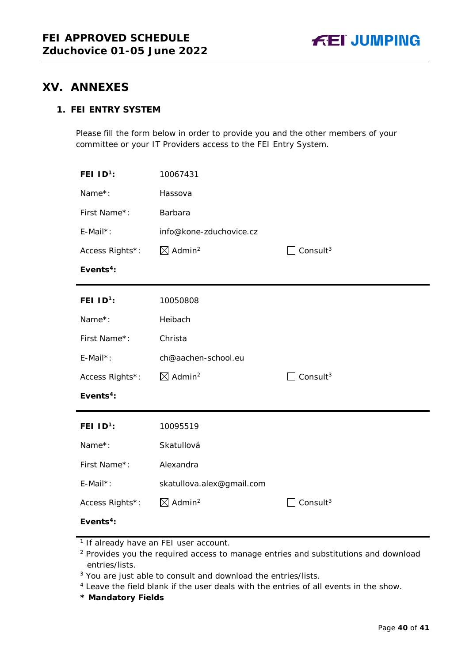## <span id="page-39-0"></span>**XV. ANNEXES**

## **1. FEI ENTRY SYSTEM**

Please fill the form below in order to provide you and the other members of your committee or your IT Providers access to the FEI Entry System.

| FEI $1D^1$ :          | 10067431                       |                      |
|-----------------------|--------------------------------|----------------------|
| Name*:                | Hassova                        |                      |
| First Name*:          | Barbara                        |                      |
| E-Mail*:              | info@kone-zduchovice.cz        |                      |
| Access Rights*:       | $\boxtimes$ Admin <sup>2</sup> | Consult $3$          |
| Events <sup>4</sup> : |                                |                      |
| FEI $ID^1$ :          | 10050808                       |                      |
| Name*:                | Heibach                        |                      |
| First Name*:          | Christa                        |                      |
| E-Mail*:              | ch@aachen-school.eu            |                      |
| Access Rights*:       | $\boxtimes$ Admin <sup>2</sup> | Consult <sup>3</sup> |
| Events <sup>4</sup> : |                                |                      |
| FEI $ID1$ :           | 10095519                       |                      |
| Name*:                | Skatullová                     |                      |
| First Name*:          | Alexandra                      |                      |
| E-Mail*:              | skatullova.alex@gmail.com      |                      |
| Access Rights*:       | $\boxtimes$ Admin <sup>2</sup> | Consult $3$          |
| Events <sup>4</sup> : |                                |                      |

**\* Mandatory Fields**

<sup>&</sup>lt;sup>1</sup> If already have an FEI user account.

<sup>&</sup>lt;sup>2</sup> Provides you the required access to manage entries and substitutions and download entries/lists.

<sup>&</sup>lt;sup>3</sup> You are just able to consult and download the entries/lists.

<sup>4</sup> Leave the field blank if the user deals with the entries of all events in the show.